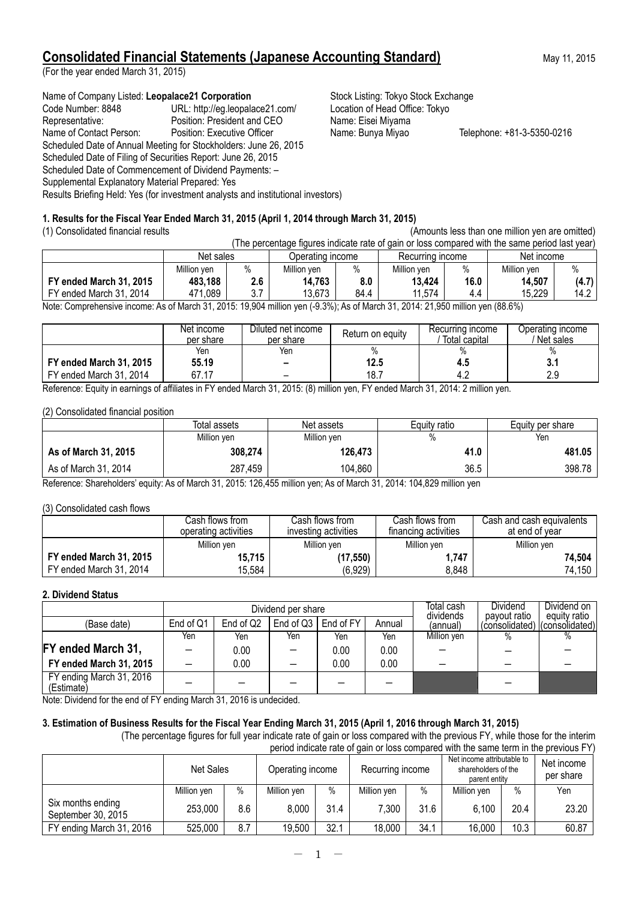# **Consolidated Financial Statements (Japanese Accounting Standard)** May 11, 2015

(For the year ended March 31, 2015)

Name of Company Listed: Leopalace21 Corporation **Stock Listing: Tokyo Stock Exchange** Code Number: 8848 URL: http://eg.leopalace21.com/ Location of Head Office: Tokyo<br>Representative: Position: President and CEO Name: Eisei Miyama Representative: Position: President and CEO Name of Contact Person: Position: Executive Officer Name: Bunya Miyao Telephone: +81-3-5350-0216 Scheduled Date of Annual Meeting for Stockholders: June 26, 2015 Scheduled Date of Filing of Securities Report: June 26, 2015 Scheduled Date of Commencement of Dividend Payments: – Supplemental Explanatory Material Prepared: Yes Results Briefing Held: Yes (for investment analysts and institutional investors)

### **1. Results for the Fiscal Year Ended March 31, 2015 (April 1, 2014 through March 31, 2015)**

(1) Consolidated financial results (Amounts less than one million yen are omitted)

| (The percentage figures indicate rate of gain or loss compared with the same period last year)                                                                                                                               |                                                                 |      |             |      |             |      |             |       |  |
|------------------------------------------------------------------------------------------------------------------------------------------------------------------------------------------------------------------------------|-----------------------------------------------------------------|------|-------------|------|-------------|------|-------------|-------|--|
|                                                                                                                                                                                                                              | Net income<br>Net sales<br>Recurring income<br>Operating income |      |             |      |             |      |             |       |  |
|                                                                                                                                                                                                                              | Million ven                                                     | $\%$ | Million ven | $\%$ | Million ven |      | Million ven | $\%$  |  |
| FY ended March 31, 2015                                                                                                                                                                                                      | 483.188                                                         | 2.6  | 14,763      | 8.0  | 13.424      | 16.0 | 14,507      | (4.7) |  |
| FY ended March 31, 2014                                                                                                                                                                                                      | 471,089                                                         | 3.7  | 13.673      | 84.4 | 11.574      | 4.4  | 15.229      | 14.2  |  |
| (00.00) من من الأحد العام 24.000 لوكو عام 2010) من من الأحد العام 24.000 لوكو عام 24.000 كما يوجد من المستخدم في المستخدم المستخدم المستخدم المستخدم المستخدم المستخدم المستخدم المستخدم المستخدم المستخدم المستخدم المستخدم |                                                                 |      |             |      |             |      |             |       |  |

Note: Comprehensive income: As of March 31, 2015: 19,904 million yen (-9.3%); As of March 31, 2014: 21,950 million yen (88.6%)

|                         | Net income<br>per share | Diluted net income<br>per share | Return on equity | Recurring income<br>Total capital | Operating income<br>' Net sales |
|-------------------------|-------------------------|---------------------------------|------------------|-----------------------------------|---------------------------------|
|                         | Yen                     | Yen                             | $\%$             |                                   |                                 |
| FY ended March 31, 2015 | 55.19                   |                                 | 12.5             | 4.3                               | 3.1                             |
| FY ended March 31, 2014 | 67.17                   |                                 | 18.7             |                                   | 2.9                             |

Reference: Equity in earnings of affiliates in FY ended March 31, 2015: (8) million yen, FY ended March 31, 2014: 2 million yen.

(2) Consolidated financial position

|                      | Total assets | Net assets  | Equity ratio | Equity per share |  |
|----------------------|--------------|-------------|--------------|------------------|--|
|                      | Million yen  | Million yen | %            | Yen              |  |
| As of March 31, 2015 | 308,274      | 126,473     | 41.0         | 481.05           |  |
| As of March 31, 2014 | 287,459      | 104,860     | 36.5         | 398.78           |  |

Reference: Shareholders' equity: As of March 31, 2015: 126,455 million yen; As of March 31, 2014: 104,829 million yen

(3) Consolidated cash flows

|                         | Cash flows from .<br>operating activities | Cash flows from<br>investing activities | Cash flows from<br>financing activities | Cash and cash equivalents<br>at end of vear |
|-------------------------|-------------------------------------------|-----------------------------------------|-----------------------------------------|---------------------------------------------|
|                         | Million ven                               | Million yen                             | Million yen                             | Million yen                                 |
| FY ended March 31, 2015 | 15,715                                    | (17, 550)                               | ,747                                    | 74,504                                      |
| FY ended March 31, 2014 | 15.584                                    | (6,929)                                 | 8.848                                   | 74,150                                      |

### **2. Dividend Status**

|                                        |           |           | Dividend per share | Total cash<br>dividends | Dividend<br>payout ratio | Dividend on 1<br>equity ratio |                               |  |
|----------------------------------------|-----------|-----------|--------------------|-------------------------|--------------------------|-------------------------------|-------------------------------|--|
| (Base date)                            | End of Q1 | End of Q2 | End of Q3          | End of FY               | Annual                   | (annual)                      | (consolidated) (consolidated) |  |
|                                        | Yen       | Yen       | Yen                | Yen                     | Yen                      | Million ven                   | $\%$                          |  |
| FY ended March 31,                     |           | 0.00      |                    | 0.00                    | 0.00                     |                               |                               |  |
| FY ended March 31, 2015                |           | 0.00      |                    | 0.00                    | 0.00                     |                               |                               |  |
| FY ending March 31, 2016<br>(Estimate) |           |           |                    |                         |                          |                               |                               |  |

Note: Dividend for the end of FY ending March 31, 2016 is undecided.

### **3. Estimation of Business Results for the Fiscal Year Ending March 31, 2015 (April 1, 2016 through March 31, 2015)**

(The percentage figures for full year indicate rate of gain or loss compared with the previous FY, while those for the interim period indicate rate of gain or loss compared with the same term in the previous FY)

|                                         | <b>Net Sales</b> | Operating income |             | Recurring income |             | Net income attributable to<br>shareholders of the<br>parent entity |             | Net income<br>per share |       |
|-----------------------------------------|------------------|------------------|-------------|------------------|-------------|--------------------------------------------------------------------|-------------|-------------------------|-------|
|                                         | Million yen      | $\%$             | Million ven | $\%$             | Million yen | $\%$                                                               | Million yen | $\%$                    | Yen   |
| Six months ending<br>September 30, 2015 | 253,000          | 8.6              | 8,000       | 31.4             | 7.300       | 31.6                                                               | 6,100       | 20.4                    | 23.20 |
| FY ending March 31, 2016                | 525,000          | 8.7              | 19,500      | 32.1             | 18,000      | 34.1                                                               | 16,000      | 10.3                    | 60.87 |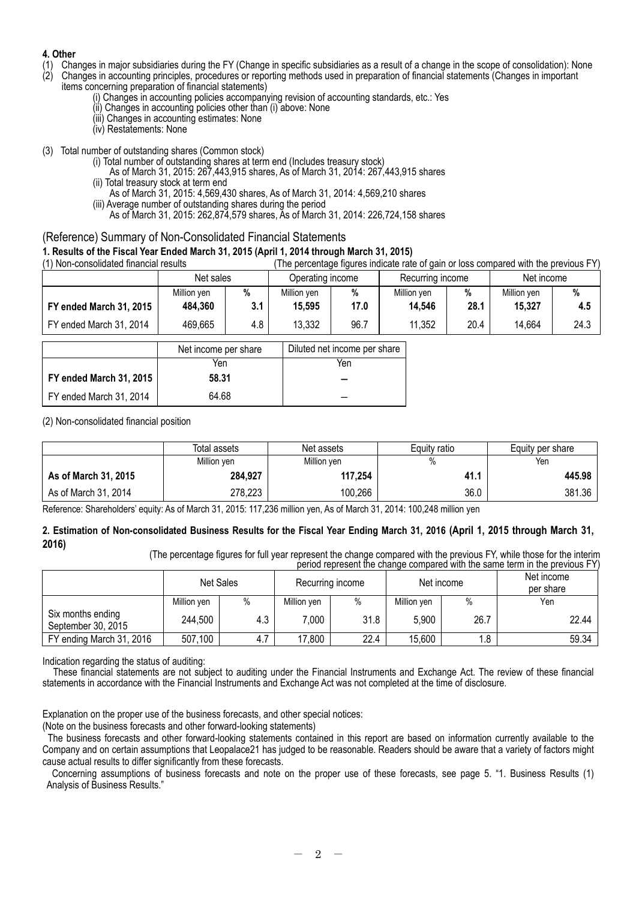### **4. Other**

- (1) Changes in major subsidiaries during the FY (Change in specific subsidiaries as a result of a change in the scope of consolidation): None (2) Changes in important (2) Changes in important
- (2) Changes in accounting principles, procedures or reporting methods used in preparation of financial statements (Changes in important items concerning preparation of financial statements)
	- (i) Changes in accounting policies accompanying revision of accounting standards, etc.: Yes
	- (ii) Changes in accounting policies other than (i) above: None
	- (iii) Changes in accounting estimates: None
	- (iv) Restatements: None
- (3) Total number of outstanding shares (Common stock)
	- (i) Total number of outstanding shares at term end (Includes treasury stock)
		- As of March 31, 2015: 267,443,915 shares, As of March 31, 2014: 267,443,915 shares (ii) Total treasury stock at term end
		- As of March 31, 2015: 4,569,430 shares, As of March 31, 2014: 4,569,210 shares (iii) Average number of outstanding shares during the period
		- As of March 31, 2015: 262,874,579 shares, As of March 31, 2014: 226,724,158 shares

### (Reference) Summary of Non-Consolidated Financial Statements

### **1. Results of the Fiscal Year Ended March 31, 2015 (April 1, 2014 through March 31, 2015)**

| (1) Non-consolidated financial results |             |     | (The percentage figures indicate rate of gain or loss compared with the previous FY) |      |                  |      |             |      |
|----------------------------------------|-------------|-----|--------------------------------------------------------------------------------------|------|------------------|------|-------------|------|
|                                        | Net sales   |     | Operating income                                                                     |      | Recurring income |      | Net income  |      |
|                                        | Million ven | %   | Million ven                                                                          | %    | Million yen      | %    | Million ven | %    |
| FY ended March 31, 2015                | 484,360     | 3.1 | 15,595                                                                               | 17.0 | 14,546           | 28.1 | 15,327      | 4.5  |
| FY ended March 31, 2014                | 469,665     | 4.8 | 13,332                                                                               | 96.7 | 11,352           | 20.4 | 14,664      | 24.3 |

|                         | Net income per share | Diluted net income per share |
|-------------------------|----------------------|------------------------------|
|                         | Yen                  | Yen                          |
| FY ended March 31, 2015 | 58.31                |                              |
| FY ended March 31, 2014 | 64.68                |                              |

(2) Non-consolidated financial position

|                      | Total assets | Net assets  | Equity ratio | Equity per share |
|----------------------|--------------|-------------|--------------|------------------|
|                      | Million yen  | Million yen | %            | Yen              |
| As of March 31, 2015 | 284,927      | 117,254     | 41.1         | 445.98           |
| As of March 31, 2014 | 278,223      | 100,266     | 36.0         | 381.36           |

Reference: Shareholders' equity: As of March 31, 2015: 117,236 million yen, As of March 31, 2014: 100,248 million yen

### **2. Estimation of Non-consolidated Business Results for the Fiscal Year Ending March 31, 2016 (April 1, 2015 through March 31, 2016)**

(The percentage figures for full year represent the change compared with the previous FY, while those for the interim period represent the change compared with the same term in the previous FY)

|                                         | <b>Net Sales</b> |      |             | Recurring income | Net income  |      | Net income<br>per share |
|-----------------------------------------|------------------|------|-------------|------------------|-------------|------|-------------------------|
|                                         | Million ven      | $\%$ | Million yen | $\%$             | Million ven | $\%$ | Yen                     |
| Six months ending<br>September 30, 2015 | 244,500          | 4.3  | 7.000       | 31.8             | 5.900       | 26.7 | 22.44                   |
| FY ending March 31, 2016                | 507,100          |      | 17,800      | 22.4             | 15,600      | 1.8  | 59.34                   |

Indication regarding the status of auditing:

These financial statements are not subject to auditing under the Financial Instruments and Exchange Act. The review of these financial statements in accordance with the Financial Instruments and Exchange Act was not completed at the time of disclosure.

Explanation on the proper use of the business forecasts, and other special notices:

(Note on the business forecasts and other forward-looking statements)

The business forecasts and other forward-looking statements contained in this report are based on information currently available to the Company and on certain assumptions that Leopalace21 has judged to be reasonable. Readers should be aware that a variety of factors might cause actual results to differ significantly from these forecasts.

Concerning assumptions of business forecasts and note on the proper use of these forecasts, see page 5. "1. Business Results (1) Analysis of Business Results."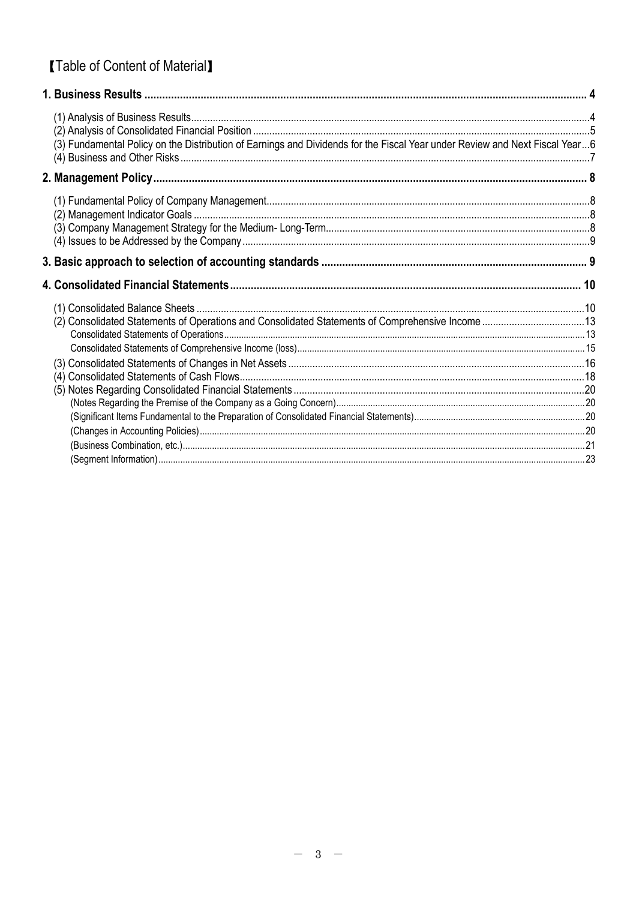# **[Table of Content of Material]**

| (3) Fundamental Policy on the Distribution of Earnings and Dividends for the Fiscal Year under Review and Next Fiscal Year6 |  |
|-----------------------------------------------------------------------------------------------------------------------------|--|
|                                                                                                                             |  |
|                                                                                                                             |  |
|                                                                                                                             |  |
|                                                                                                                             |  |
|                                                                                                                             |  |
|                                                                                                                             |  |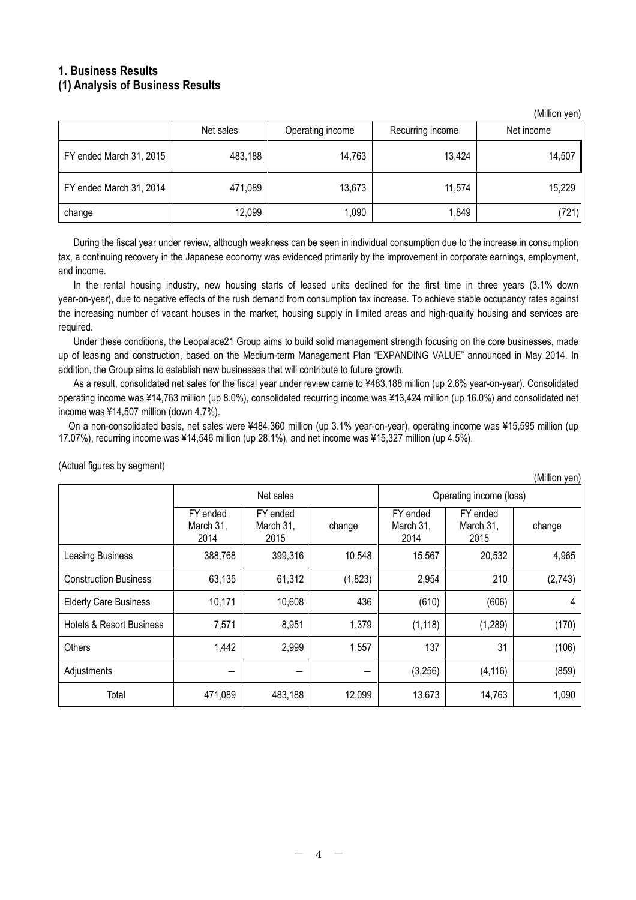### **1. Business Results (1) Analysis of Business Results**

|                         | Net sales | Operating income | Recurring income | Net income |
|-------------------------|-----------|------------------|------------------|------------|
| FY ended March 31, 2015 | 483,188   | 14,763           | 13,424           | 14,507     |
| FY ended March 31, 2014 | 471,089   | 13,673           | 11,574           | 15,229     |
| change                  | 12,099    | 1,090            | 1,849            | (721)      |

During the fiscal year under review, although weakness can be seen in individual consumption due to the increase in consumption tax, a continuing recovery in the Japanese economy was evidenced primarily by the improvement in corporate earnings, employment, and income.

In the rental housing industry, new housing starts of leased units declined for the first time in three years (3.1% down year-on-year), due to negative effects of the rush demand from consumption tax increase. To achieve stable occupancy rates against the increasing number of vacant houses in the market, housing supply in limited areas and high-quality housing and services are required.

Under these conditions, the Leopalace21 Group aims to build solid management strength focusing on the core businesses, made up of leasing and construction, based on the Medium-term Management Plan "EXPANDING VALUE" announced in May 2014. In addition, the Group aims to establish new businesses that will contribute to future growth.

As a result, consolidated net sales for the fiscal year under review came to ¥483,188 million (up 2.6% year-on-year). Consolidated operating income was ¥14,763 million (up 8.0%), consolidated recurring income was ¥13,424 million (up 16.0%) and consolidated net income was ¥14,507 million (down 4.7%).

On a non-consolidated basis, net sales were ¥484,360 million (up 3.1% year-on-year), operating income was ¥15,595 million (up 17.07%), recurring income was ¥14,546 million (up 28.1%), and net income was ¥15,327 million (up 4.5%).

|                                     | Net sales                     |                               |         | Operating income (loss)       |                               |         |
|-------------------------------------|-------------------------------|-------------------------------|---------|-------------------------------|-------------------------------|---------|
|                                     | FY ended<br>March 31,<br>2014 | FY ended<br>March 31,<br>2015 | change  | FY ended<br>March 31,<br>2014 | FY ended<br>March 31,<br>2015 | change  |
| Leasing Business                    | 388,768                       | 399,316                       | 10,548  | 15,567                        | 20,532                        | 4,965   |
| <b>Construction Business</b>        | 63,135                        | 61,312                        | (1,823) | 2,954                         | 210                           | (2,743) |
| <b>Elderly Care Business</b>        | 10,171                        | 10,608                        | 436     | (610)                         | (606)                         | 4       |
| <b>Hotels &amp; Resort Business</b> | 7,571                         | 8,951                         | 1,379   | (1, 118)                      | (1, 289)                      | (170)   |
| Others                              | 1,442                         | 2,999                         | 1,557   | 137                           | 31                            | (106)   |
| Adjustments                         |                               |                               |         | (3,256)                       | (4, 116)                      | (859)   |
| Total                               | 471,089                       | 483,188                       | 12,099  | 13,673                        | 14,763                        | 1,090   |

(Actual figures by segment)

(Million yen)

(Million yen)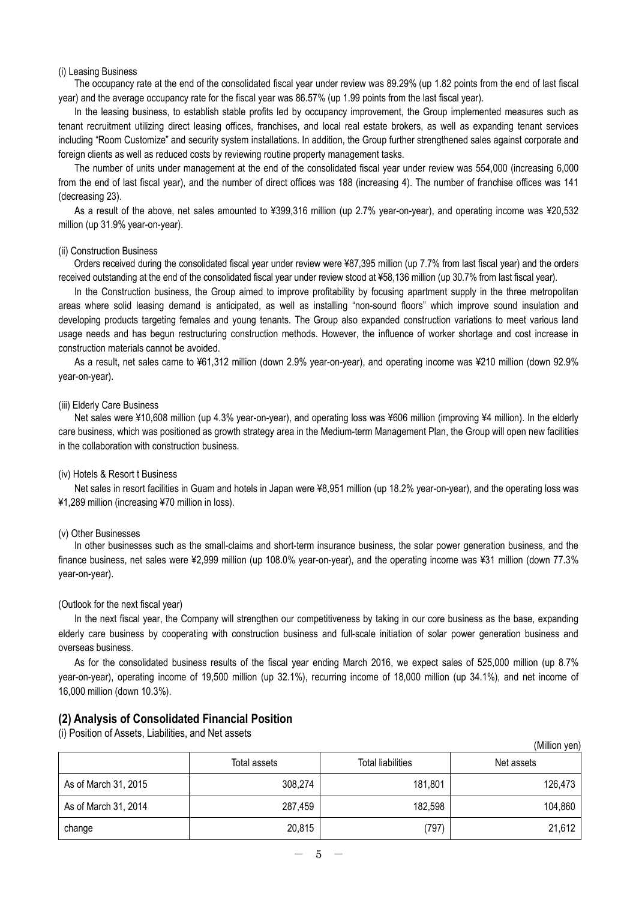#### (i) Leasing Business

The occupancy rate at the end of the consolidated fiscal year under review was 89.29% (up 1.82 points from the end of last fiscal year) and the average occupancy rate for the fiscal year was 86.57% (up 1.99 points from the last fiscal year).

In the leasing business, to establish stable profits led by occupancy improvement, the Group implemented measures such as tenant recruitment utilizing direct leasing offices, franchises, and local real estate brokers, as well as expanding tenant services including "Room Customize" and security system installations. In addition, the Group further strengthened sales against corporate and foreign clients as well as reduced costs by reviewing routine property management tasks.

The number of units under management at the end of the consolidated fiscal year under review was 554,000 (increasing 6,000 from the end of last fiscal year), and the number of direct offices was 188 (increasing 4). The number of franchise offices was 141 (decreasing 23).

As a result of the above, net sales amounted to ¥399,316 million (up 2.7% year-on-year), and operating income was ¥20,532 million (up 31.9% year-on-year).

#### (ii) Construction Business

Orders received during the consolidated fiscal year under review were ¥87,395 million (up 7.7% from last fiscal year) and the orders received outstanding at the end of the consolidated fiscal year under review stood at ¥58,136 million (up 30.7% from last fiscal year).

In the Construction business, the Group aimed to improve profitability by focusing apartment supply in the three metropolitan areas where solid leasing demand is anticipated, as well as installing "non-sound floors" which improve sound insulation and developing products targeting females and young tenants. The Group also expanded construction variations to meet various land usage needs and has begun restructuring construction methods. However, the influence of worker shortage and cost increase in construction materials cannot be avoided.

As a result, net sales came to ¥61,312 million (down 2.9% year-on-year), and operating income was ¥210 million (down 92.9% year-on-year).

#### (iii) Elderly Care Business

Net sales were ¥10,608 million (up 4.3% year-on-year), and operating loss was ¥606 million (improving ¥4 million). In the elderly care business, which was positioned as growth strategy area in the Medium-term Management Plan, the Group will open new facilities in the collaboration with construction business.

#### (iv) Hotels & Resort t Business

Net sales in resort facilities in Guam and hotels in Japan were ¥8,951 million (up 18.2% year-on-year), and the operating loss was ¥1,289 million (increasing ¥70 million in loss).

#### (v) Other Businesses

In other businesses such as the small-claims and short-term insurance business, the solar power generation business, and the finance business, net sales were ¥2,999 million (up 108.0% year-on-year), and the operating income was ¥31 million (down 77.3% year-on-year).

#### (Outlook for the next fiscal year)

In the next fiscal year, the Company will strengthen our competitiveness by taking in our core business as the base, expanding elderly care business by cooperating with construction business and full-scale initiation of solar power generation business and overseas business.

As for the consolidated business results of the fiscal year ending March 2016, we expect sales of 525,000 million (up 8.7% year-on-year), operating income of 19,500 million (up 32.1%), recurring income of 18,000 million (up 34.1%), and net income of 16,000 million (down 10.3%).

### **(2) Analysis of Consolidated Financial Position**

(i) Position of Assets, Liabilities, and Net assets

|                      |              |                          | (Million yen) |
|----------------------|--------------|--------------------------|---------------|
|                      | Total assets | <b>Total liabilities</b> | Net assets    |
| As of March 31, 2015 | 308,274      | 181,801                  | 126,473       |
| As of March 31, 2014 | 287,459      | 182,598                  | 104,860       |
| change               | 20,815       | (797)                    | 21,612        |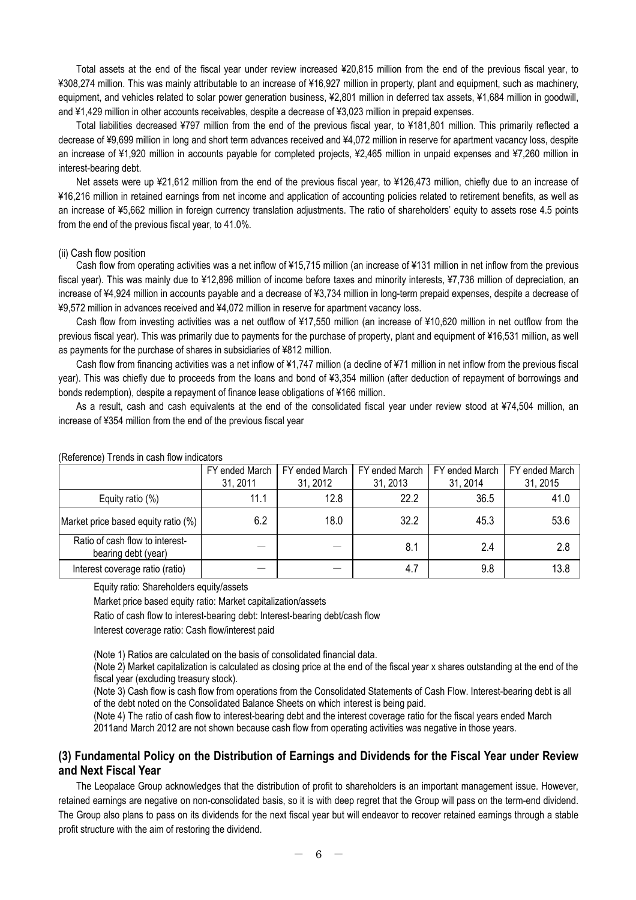Total assets at the end of the fiscal year under review increased ¥20,815 million from the end of the previous fiscal year, to ¥308,274 million. This was mainly attributable to an increase of ¥16,927 million in property, plant and equipment, such as machinery, equipment, and vehicles related to solar power generation business, ¥2,801 million in deferred tax assets, ¥1,684 million in goodwill, and ¥1,429 million in other accounts receivables, despite a decrease of ¥3,023 million in prepaid expenses.

Total liabilities decreased ¥797 million from the end of the previous fiscal year, to ¥181,801 million. This primarily reflected a decrease of ¥9,699 million in long and short term advances received and ¥4,072 million in reserve for apartment vacancy loss, despite an increase of ¥1,920 million in accounts payable for completed projects, ¥2,465 million in unpaid expenses and ¥7,260 million in interest-bearing debt.

Net assets were up ¥21,612 million from the end of the previous fiscal year, to ¥126,473 million, chiefly due to an increase of ¥16,216 million in retained earnings from net income and application of accounting policies related to retirement benefits, as well as an increase of ¥5,662 million in foreign currency translation adjustments. The ratio of shareholders' equity to assets rose 4.5 points from the end of the previous fiscal year, to 41.0%.

#### (ii) Cash flow position

Cash flow from operating activities was a net inflow of ¥15,715 million (an increase of ¥131 million in net inflow from the previous fiscal year). This was mainly due to ¥12,896 million of income before taxes and minority interests, ¥7,736 million of depreciation, an increase of ¥4,924 million in accounts payable and a decrease of ¥3,734 million in long-term prepaid expenses, despite a decrease of ¥9,572 million in advances received and ¥4,072 million in reserve for apartment vacancy loss.

Cash flow from investing activities was a net outflow of ¥17,550 million (an increase of ¥10,620 million in net outflow from the previous fiscal year). This was primarily due to payments for the purchase of property, plant and equipment of ¥16,531 million, as well as payments for the purchase of shares in subsidiaries of ¥812 million.

Cash flow from financing activities was a net inflow of ¥1,747 million (a decline of ¥71 million in net inflow from the previous fiscal year). This was chiefly due to proceeds from the loans and bond of ¥3,354 million (after deduction of repayment of borrowings and bonds redemption), despite a repayment of finance lease obligations of ¥166 million.

As a result, cash and cash equivalents at the end of the consolidated fiscal year under review stood at ¥74,504 million, an increase of ¥354 million from the end of the previous fiscal year

|                                                        | FY ended March<br>31, 2011 | FY ended March<br>31, 2012 | FY ended March<br>31, 2013 | FY ended March<br>31, 2014 | FY ended March<br>31, 2015 |
|--------------------------------------------------------|----------------------------|----------------------------|----------------------------|----------------------------|----------------------------|
| Equity ratio (%)                                       | 11.1                       | 12.8                       | 22.2                       | 36.5                       | 41.0                       |
| Market price based equity ratio (%)                    | 6.2                        | 18.0                       | 32.2                       | 45.3                       | 53.6                       |
| Ratio of cash flow to interest-<br>bearing debt (year) |                            |                            | 8.1                        | 2.4                        | 2.8                        |
| Interest coverage ratio (ratio)                        |                            |                            | 4.7                        | 9.8                        | 13.8                       |

(Reference) Trends in cash flow indicators

Equity ratio: Shareholders equity/assets

Market price based equity ratio: Market capitalization/assets

Ratio of cash flow to interest-bearing debt: Interest-bearing debt/cash flow

Interest coverage ratio: Cash flow/interest paid

(Note 1) Ratios are calculated on the basis of consolidated financial data.

(Note 2) Market capitalization is calculated as closing price at the end of the fiscal year x shares outstanding at the end of the fiscal year (excluding treasury stock).

(Note 3) Cash flow is cash flow from operations from the Consolidated Statements of Cash Flow. Interest-bearing debt is all of the debt noted on the Consolidated Balance Sheets on which interest is being paid.

(Note 4) The ratio of cash flow to interest-bearing debt and the interest coverage ratio for the fiscal years ended March 2011and March 2012 are not shown because cash flow from operating activities was negative in those years.

### **(3) Fundamental Policy on the Distribution of Earnings and Dividends for the Fiscal Year under Review and Next Fiscal Year**

The Leopalace Group acknowledges that the distribution of profit to shareholders is an important management issue. However, retained earnings are negative on non-consolidated basis, so it is with deep regret that the Group will pass on the term-end dividend. The Group also plans to pass on its dividends for the next fiscal year but will endeavor to recover retained earnings through a stable profit structure with the aim of restoring the dividend.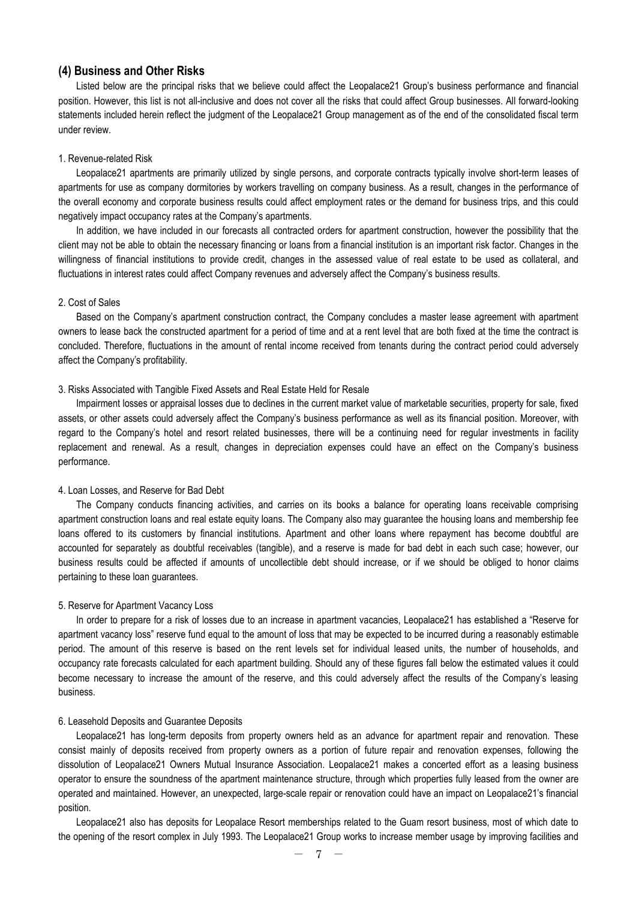### **(4) Business and Other Risks**

Listed below are the principal risks that we believe could affect the Leopalace21 Group's business performance and financial position. However, this list is not all-inclusive and does not cover all the risks that could affect Group businesses. All forward-looking statements included herein reflect the judgment of the Leopalace21 Group management as of the end of the consolidated fiscal term under review.

#### 1. Revenue-related Risk

Leopalace21 apartments are primarily utilized by single persons, and corporate contracts typically involve short-term leases of apartments for use as company dormitories by workers travelling on company business. As a result, changes in the performance of the overall economy and corporate business results could affect employment rates or the demand for business trips, and this could negatively impact occupancy rates at the Company's apartments.

In addition, we have included in our forecasts all contracted orders for apartment construction, however the possibility that the client may not be able to obtain the necessary financing or loans from a financial institution is an important risk factor. Changes in the willingness of financial institutions to provide credit, changes in the assessed value of real estate to be used as collateral, and fluctuations in interest rates could affect Company revenues and adversely affect the Company's business results.

#### 2. Cost of Sales

Based on the Company's apartment construction contract, the Company concludes a master lease agreement with apartment owners to lease back the constructed apartment for a period of time and at a rent level that are both fixed at the time the contract is concluded. Therefore, fluctuations in the amount of rental income received from tenants during the contract period could adversely affect the Company's profitability.

#### 3. Risks Associated with Tangible Fixed Assets and Real Estate Held for Resale

Impairment losses or appraisal losses due to declines in the current market value of marketable securities, property for sale, fixed assets, or other assets could adversely affect the Company's business performance as well as its financial position. Moreover, with regard to the Company's hotel and resort related businesses, there will be a continuing need for regular investments in facility replacement and renewal. As a result, changes in depreciation expenses could have an effect on the Company's business performance.

#### 4. Loan Losses, and Reserve for Bad Debt

The Company conducts financing activities, and carries on its books a balance for operating loans receivable comprising apartment construction loans and real estate equity loans. The Company also may guarantee the housing loans and membership fee loans offered to its customers by financial institutions. Apartment and other loans where repayment has become doubtful are accounted for separately as doubtful receivables (tangible), and a reserve is made for bad debt in each such case; however, our business results could be affected if amounts of uncollectible debt should increase, or if we should be obliged to honor claims pertaining to these loan guarantees.

#### 5. Reserve for Apartment Vacancy Loss

In order to prepare for a risk of losses due to an increase in apartment vacancies, Leopalace21 has established a "Reserve for apartment vacancy loss" reserve fund equal to the amount of loss that may be expected to be incurred during a reasonably estimable period. The amount of this reserve is based on the rent levels set for individual leased units, the number of households, and occupancy rate forecasts calculated for each apartment building. Should any of these figures fall below the estimated values it could become necessary to increase the amount of the reserve, and this could adversely affect the results of the Company's leasing business.

#### 6. Leasehold Deposits and Guarantee Deposits

Leopalace21 has long-term deposits from property owners held as an advance for apartment repair and renovation. These consist mainly of deposits received from property owners as a portion of future repair and renovation expenses, following the dissolution of Leopalace21 Owners Mutual Insurance Association. Leopalace21 makes a concerted effort as a leasing business operator to ensure the soundness of the apartment maintenance structure, through which properties fully leased from the owner are operated and maintained. However, an unexpected, large-scale repair or renovation could have an impact on Leopalace21's financial position.

Leopalace21 also has deposits for Leopalace Resort memberships related to the Guam resort business, most of which date to the opening of the resort complex in July 1993. The Leopalace21 Group works to increase member usage by improving facilities and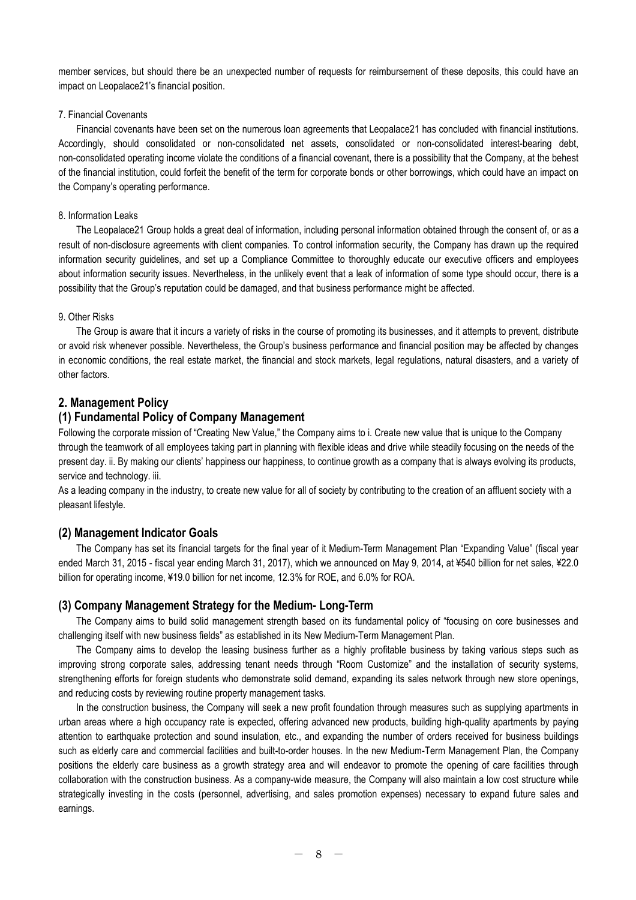member services, but should there be an unexpected number of requests for reimbursement of these deposits, this could have an impact on Leopalace21's financial position.

### 7. Financial Covenants

Financial covenants have been set on the numerous loan agreements that Leopalace21 has concluded with financial institutions. Accordingly, should consolidated or non-consolidated net assets, consolidated or non-consolidated interest-bearing debt, non-consolidated operating income violate the conditions of a financial covenant, there is a possibility that the Company, at the behest of the financial institution, could forfeit the benefit of the term for corporate bonds or other borrowings, which could have an impact on the Company's operating performance.

### 8. Information Leaks

The Leopalace21 Group holds a great deal of information, including personal information obtained through the consent of, or as a result of non-disclosure agreements with client companies. To control information security, the Company has drawn up the required information security guidelines, and set up a Compliance Committee to thoroughly educate our executive officers and employees about information security issues. Nevertheless, in the unlikely event that a leak of information of some type should occur, there is a possibility that the Group's reputation could be damaged, and that business performance might be affected.

### 9. Other Risks

The Group is aware that it incurs a variety of risks in the course of promoting its businesses, and it attempts to prevent, distribute or avoid risk whenever possible. Nevertheless, the Group's business performance and financial position may be affected by changes in economic conditions, the real estate market, the financial and stock markets, legal regulations, natural disasters, and a variety of other factors.

### **2. Management Policy**

### **(1) Fundamental Policy of Company Management**

Following the corporate mission of "Creating New Value," the Company aims to i. Create new value that is unique to the Company through the teamwork of all employees taking part in planning with flexible ideas and drive while steadily focusing on the needs of the present day. ii. By making our clients' happiness our happiness, to continue growth as a company that is always evolving its products, service and technology. iii.

As a leading company in the industry, to create new value for all of society by contributing to the creation of an affluent society with a pleasant lifestyle.

### **(2) Management Indicator Goals**

The Company has set its financial targets for the final year of it Medium-Term Management Plan "Expanding Value" (fiscal year ended March 31, 2015 - fiscal year ending March 31, 2017), which we announced on May 9, 2014, at ¥540 billion for net sales, ¥22.0 billion for operating income, ¥19.0 billion for net income, 12.3% for ROE, and 6.0% for ROA.

### **(3) Company Management Strategy for the Medium- Long-Term**

The Company aims to build solid management strength based on its fundamental policy of "focusing on core businesses and challenging itself with new business fields" as established in its New Medium-Term Management Plan.

The Company aims to develop the leasing business further as a highly profitable business by taking various steps such as improving strong corporate sales, addressing tenant needs through "Room Customize" and the installation of security systems, strengthening efforts for foreign students who demonstrate solid demand, expanding its sales network through new store openings, and reducing costs by reviewing routine property management tasks.

In the construction business, the Company will seek a new profit foundation through measures such as supplying apartments in urban areas where a high occupancy rate is expected, offering advanced new products, building high-quality apartments by paying attention to earthquake protection and sound insulation, etc., and expanding the number of orders received for business buildings such as elderly care and commercial facilities and built-to-order houses. In the new Medium-Term Management Plan, the Company positions the elderly care business as a growth strategy area and will endeavor to promote the opening of care facilities through collaboration with the construction business. As a company-wide measure, the Company will also maintain a low cost structure while strategically investing in the costs (personnel, advertising, and sales promotion expenses) necessary to expand future sales and earnings.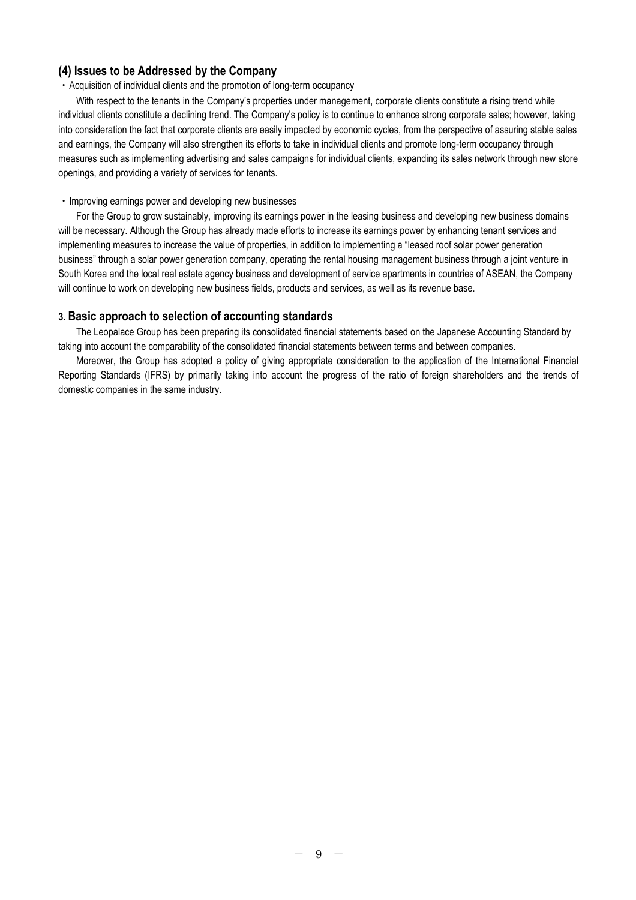### **(4) Issues to be Addressed by the Company**

### ・Acquisition of individual clients and the promotion of long-term occupancy

With respect to the tenants in the Company's properties under management, corporate clients constitute a rising trend while individual clients constitute a declining trend. The Company's policy is to continue to enhance strong corporate sales; however, taking into consideration the fact that corporate clients are easily impacted by economic cycles, from the perspective of assuring stable sales and earnings, the Company will also strengthen its efforts to take in individual clients and promote long-term occupancy through measures such as implementing advertising and sales campaigns for individual clients, expanding its sales network through new store openings, and providing a variety of services for tenants.

### ・Improving earnings power and developing new businesses

For the Group to grow sustainably, improving its earnings power in the leasing business and developing new business domains will be necessary. Although the Group has already made efforts to increase its earnings power by enhancing tenant services and implementing measures to increase the value of properties, in addition to implementing a "leased roof solar power generation business" through a solar power generation company, operating the rental housing management business through a joint venture in South Korea and the local real estate agency business and development of service apartments in countries of ASEAN, the Company will continue to work on developing new business fields, products and services, as well as its revenue base.

### **3. Basic approach to selection of accounting standards**

The Leopalace Group has been preparing its consolidated financial statements based on the Japanese Accounting Standard by taking into account the comparability of the consolidated financial statements between terms and between companies.

Moreover, the Group has adopted a policy of giving appropriate consideration to the application of the International Financial Reporting Standards (IFRS) by primarily taking into account the progress of the ratio of foreign shareholders and the trends of domestic companies in the same industry.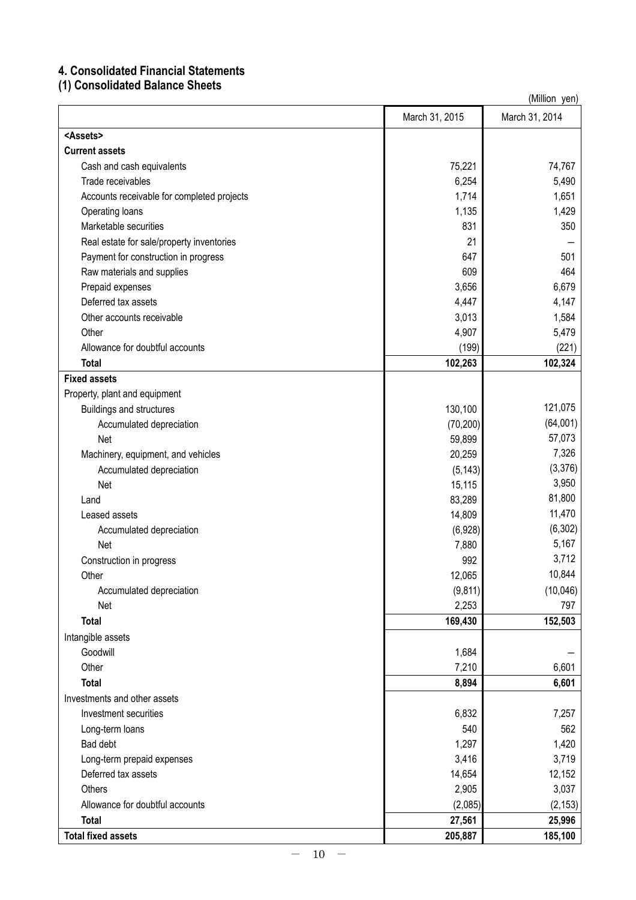## **4. Consolidated Financial Statements**

**(1) Consolidated Balance Sheets**

|                                            |                | (Million yen)  |
|--------------------------------------------|----------------|----------------|
|                                            | March 31, 2015 | March 31, 2014 |
| <assets></assets>                          |                |                |
| <b>Current assets</b>                      |                |                |
| Cash and cash equivalents                  | 75,221         | 74,767         |
| Trade receivables                          | 6,254          | 5,490          |
| Accounts receivable for completed projects | 1,714          | 1,651          |
| Operating loans                            | 1,135          | 1,429          |
| Marketable securities                      | 831            | 350            |
| Real estate for sale/property inventories  | 21             |                |
| Payment for construction in progress       | 647            | 501            |
| Raw materials and supplies                 | 609            | 464            |
| Prepaid expenses                           | 3,656          | 6,679          |
| Deferred tax assets                        | 4,447          | 4,147          |
| Other accounts receivable                  | 3,013          | 1,584          |
| Other                                      | 4,907          | 5,479          |
| Allowance for doubtful accounts            | (199)          | (221)          |
| <b>Total</b>                               | 102,263        | 102,324        |
| <b>Fixed assets</b>                        |                |                |
| Property, plant and equipment              |                |                |
| Buildings and structures                   | 130,100        | 121,075        |
| Accumulated depreciation                   | (70, 200)      | (64,001)       |
| Net                                        | 59,899         | 57,073         |
| Machinery, equipment, and vehicles         | 20,259         | 7,326          |
| Accumulated depreciation                   | (5, 143)       | (3,376)        |
| Net                                        | 15,115         | 3,950          |
| Land                                       | 83,289         | 81,800         |
| Leased assets                              | 14,809         | 11,470         |
| Accumulated depreciation                   | (6,928)        | (6, 302)       |
| Net                                        | 7,880          | 5,167          |
| Construction in progress                   | 992            | 3,712          |
| Other                                      | 12,065         | 10,844         |
| Accumulated depreciation                   | (9, 811)       | (10,046)       |
| Net                                        | 2,253          | 797            |
| <b>Total</b>                               | 169,430        | 152,503        |
| Intangible assets                          |                |                |
| Goodwill                                   | 1,684          |                |
| Other                                      | 7,210          | 6,601          |
| <b>Total</b>                               | 8,894          | 6,601          |
| Investments and other assets               |                |                |
| Investment securities                      | 6,832          | 7,257          |
| Long-term loans                            | 540            | 562            |
| Bad debt                                   | 1,297          | 1,420          |
| Long-term prepaid expenses                 | 3,416          | 3,719          |
| Deferred tax assets                        | 14,654         | 12,152         |
| Others                                     | 2,905          | 3,037          |
| Allowance for doubtful accounts            | (2,085)        | (2, 153)       |
| <b>Total</b>                               | 27,561         | 25,996         |
| <b>Total fixed assets</b>                  | 205,887        | 185,100        |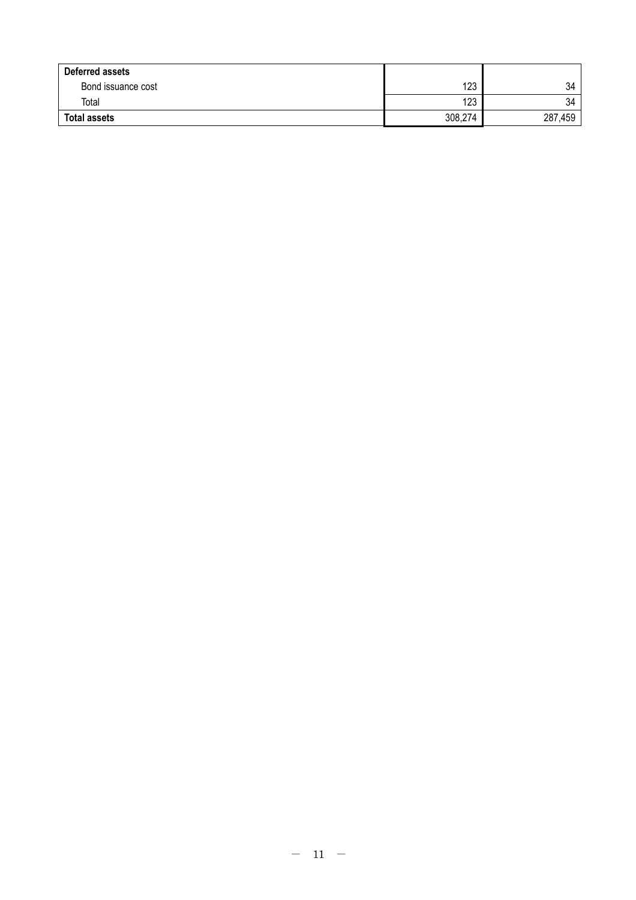| Deferred assets     |         |         |
|---------------------|---------|---------|
| Bond issuance cost  | 123     | 34      |
| Total               | 123     | 34      |
| <b>Total assets</b> | 308,274 | 287,459 |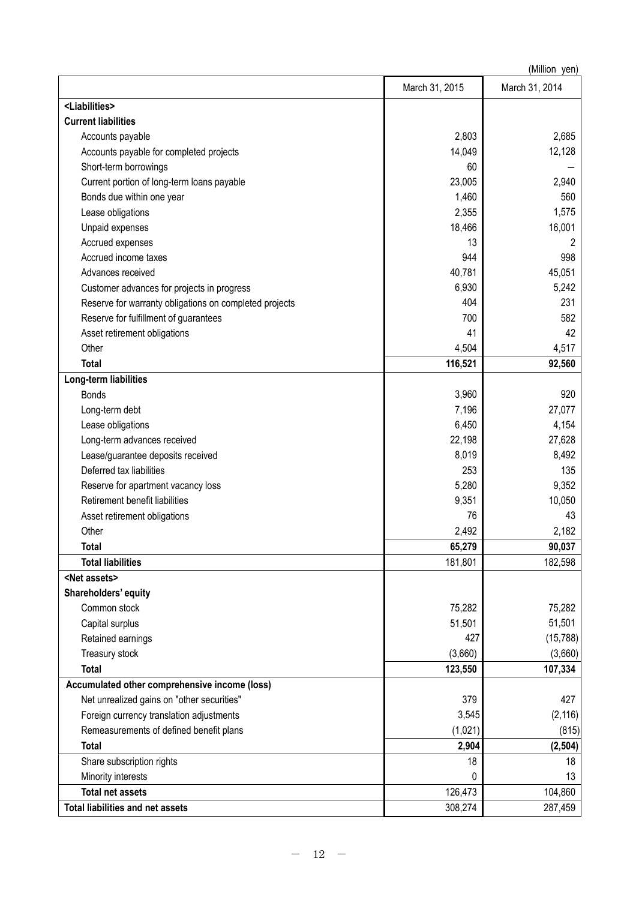|                                                        |                | (Million yen)  |
|--------------------------------------------------------|----------------|----------------|
|                                                        | March 31, 2015 | March 31, 2014 |
| <liabilities></liabilities>                            |                |                |
| <b>Current liabilities</b>                             |                |                |
| Accounts payable                                       | 2,803          | 2,685          |
| Accounts payable for completed projects                | 14,049         | 12,128         |
| Short-term borrowings                                  | 60             |                |
| Current portion of long-term loans payable             | 23,005         | 2,940          |
| Bonds due within one year                              | 1,460          | 560            |
| Lease obligations                                      | 2,355          | 1,575          |
| Unpaid expenses                                        | 18,466         | 16,001         |
| Accrued expenses                                       | 13             | 2              |
| Accrued income taxes                                   | 944            | 998            |
| Advances received                                      | 40,781         | 45,051         |
| Customer advances for projects in progress             | 6,930          | 5,242          |
| Reserve for warranty obligations on completed projects | 404            | 231            |
| Reserve for fulfillment of guarantees                  | 700            | 582            |
| Asset retirement obligations                           | 41             | 42             |
| Other                                                  | 4,504          | 4,517          |
| <b>Total</b>                                           | 116,521        | 92,560         |
| Long-term liabilities                                  |                |                |
| <b>Bonds</b>                                           | 3,960          | 920            |
| Long-term debt                                         | 7,196          | 27,077         |
| Lease obligations                                      | 6,450          | 4,154          |
| Long-term advances received                            | 22,198         | 27,628         |
| Lease/guarantee deposits received                      | 8,019          | 8,492          |
| Deferred tax liabilities                               | 253            | 135            |
| Reserve for apartment vacancy loss                     | 5,280          | 9,352          |
| Retirement benefit liabilities                         | 9,351          | 10,050         |
| Asset retirement obligations                           | 76             | 43             |
| Other                                                  | 2,492          | 2,182          |
| <b>Total</b>                                           | 65,279         | 90,037         |
| <b>Total liabilities</b>                               | 181,801        | 182,598        |
| <net assets=""></net>                                  |                |                |
| Shareholders' equity                                   |                |                |
| Common stock                                           | 75,282         | 75,282         |
| Capital surplus                                        | 51,501         | 51,501         |
| Retained earnings                                      | 427            | (15, 788)      |
| Treasury stock                                         | (3,660)        | (3,660)        |
| <b>Total</b>                                           | 123,550        | 107,334        |
| Accumulated other comprehensive income (loss)          |                |                |
| Net unrealized gains on "other securities"             | 379            | 427            |
| Foreign currency translation adjustments               | 3,545          | (2, 116)       |
| Remeasurements of defined benefit plans                | (1,021)        | (815)          |
| <b>Total</b>                                           | 2,904          | (2, 504)       |
| Share subscription rights                              | 18             | 18             |
| Minority interests                                     | 0              | 13             |
| <b>Total net assets</b>                                | 126,473        | 104,860        |
| <b>Total liabilities and net assets</b>                | 308,274        | 287,459        |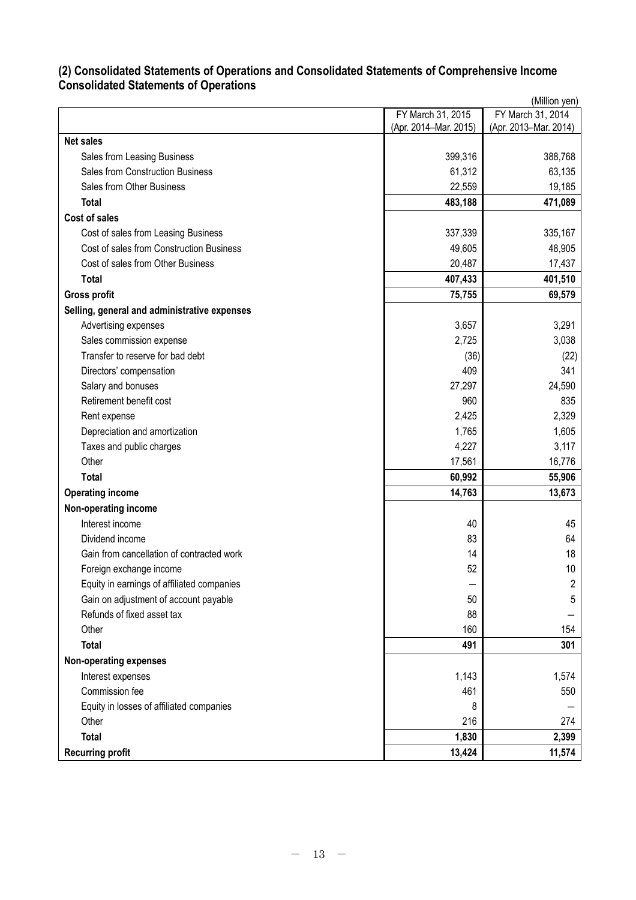### **(2) Consolidated Statements of Operations and Consolidated Statements of Comprehensive Income Consolidated Statements of Operations**

|                                              | (Million yen)         |                       |  |  |  |
|----------------------------------------------|-----------------------|-----------------------|--|--|--|
|                                              | FY March 31, 2015     | FY March 31, 2014     |  |  |  |
|                                              | (Apr. 2014-Mar. 2015) | (Apr. 2013-Mar. 2014) |  |  |  |
| <b>Net sales</b>                             |                       |                       |  |  |  |
| Sales from Leasing Business                  | 399,316               | 388,768               |  |  |  |
| <b>Sales from Construction Business</b>      | 61,312                | 63,135                |  |  |  |
| Sales from Other Business                    | 22,559                | 19,185                |  |  |  |
| <b>Total</b>                                 | 483,188               | 471,089               |  |  |  |
| Cost of sales                                |                       |                       |  |  |  |
| Cost of sales from Leasing Business          | 337,339               | 335,167               |  |  |  |
| Cost of sales from Construction Business     | 49,605                | 48,905                |  |  |  |
| Cost of sales from Other Business            | 20,487                | 17,437                |  |  |  |
| <b>Total</b>                                 | 407,433               | 401,510               |  |  |  |
| <b>Gross profit</b>                          | 75,755                | 69,579                |  |  |  |
| Selling, general and administrative expenses |                       |                       |  |  |  |
| Advertising expenses                         | 3,657                 | 3,291                 |  |  |  |
| Sales commission expense                     | 2,725                 | 3,038                 |  |  |  |
| Transfer to reserve for bad debt             | (36)                  | (22)                  |  |  |  |
| Directors' compensation                      | 409                   | 341                   |  |  |  |
| Salary and bonuses                           | 27,297                | 24,590                |  |  |  |
| Retirement benefit cost                      | 960                   | 835                   |  |  |  |
| Rent expense                                 | 2,425                 | 2,329                 |  |  |  |
| Depreciation and amortization                | 1,765                 | 1,605                 |  |  |  |
| Taxes and public charges                     | 4,227                 | 3,117                 |  |  |  |
| Other                                        | 17,561                | 16,776                |  |  |  |
| <b>Total</b>                                 | 60,992                | 55,906                |  |  |  |
| <b>Operating income</b>                      | 14,763                | 13,673                |  |  |  |
| Non-operating income                         |                       |                       |  |  |  |
| Interest income                              | 40                    | 45                    |  |  |  |
| Dividend income                              | 83                    | 64                    |  |  |  |
| Gain from cancellation of contracted work    | 14                    | 18                    |  |  |  |
| Foreign exchange income                      | 52                    | 10 <sup>°</sup>       |  |  |  |
| Equity in earnings of affiliated companies   |                       | $\overline{2}$        |  |  |  |
| Gain on adjustment of account payable        | 50                    | 5                     |  |  |  |
| Refunds of fixed asset tax                   | 88                    |                       |  |  |  |
| Other                                        | 160                   | 154                   |  |  |  |
| <b>Total</b>                                 | 491                   | 301                   |  |  |  |
| <b>Non-operating expenses</b>                |                       |                       |  |  |  |
| Interest expenses                            | 1,143                 | 1,574                 |  |  |  |
| Commission fee                               | 461                   | 550                   |  |  |  |
| Equity in losses of affiliated companies     | 8                     |                       |  |  |  |
| Other                                        | 216                   | 274                   |  |  |  |
| <b>Total</b>                                 | 1,830                 | 2,399                 |  |  |  |
| <b>Recurring profit</b>                      | 13,424                | 11,574                |  |  |  |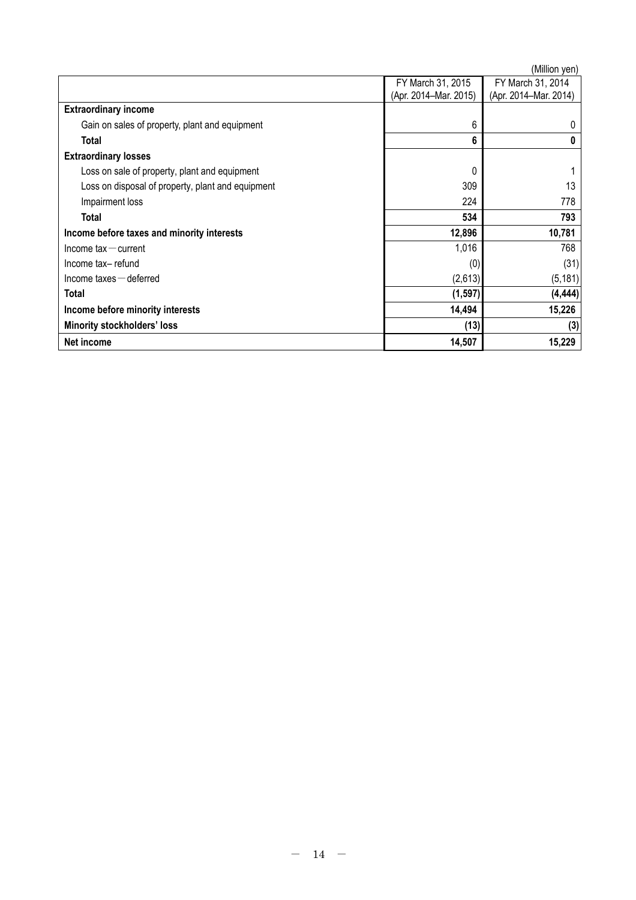|                                                   |                                            | (Million yen)                              |
|---------------------------------------------------|--------------------------------------------|--------------------------------------------|
|                                                   | FY March 31, 2015<br>(Apr. 2014-Mar. 2015) | FY March 31, 2014<br>(Apr. 2014–Mar. 2014) |
| <b>Extraordinary income</b>                       |                                            |                                            |
| Gain on sales of property, plant and equipment    | 6                                          | 0                                          |
| Total                                             | 6                                          | $\bf{0}$                                   |
| <b>Extraordinary losses</b>                       |                                            |                                            |
| Loss on sale of property, plant and equipment     | 0                                          |                                            |
| Loss on disposal of property, plant and equipment | 309                                        | 13                                         |
| Impairment loss                                   | 224                                        | 778                                        |
| Total                                             | 534                                        | 793                                        |
| Income before taxes and minority interests        | 12,896                                     | 10,781                                     |
| $lncom$ e tax $-$ current                         | 1,016                                      | 768                                        |
| Income tax-refund                                 | (0)                                        | (31)                                       |
| $lncome$ taxes $-$ deferred                       | (2,613)                                    | (5, 181)                                   |
| Total                                             | (1, 597)                                   | (4, 444)                                   |
| Income before minority interests                  | 14,494                                     | 15,226                                     |
| <b>Minority stockholders' loss</b>                | (13)                                       | (3)                                        |
| Net income                                        | 14,507                                     | 15,229                                     |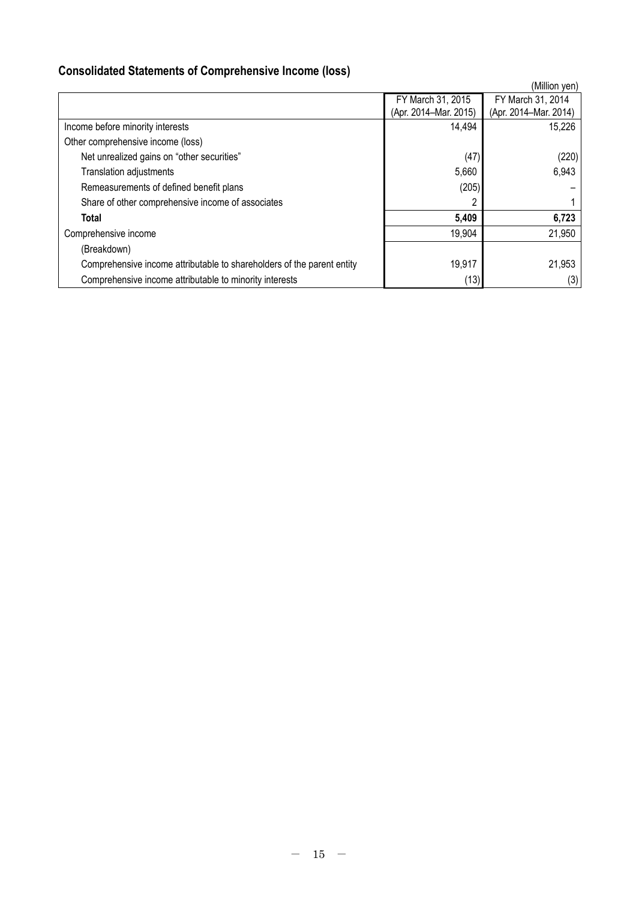# **Consolidated Statements of Comprehensive Income (loss)**

|                                                                        |                       | (Million yen)         |
|------------------------------------------------------------------------|-----------------------|-----------------------|
|                                                                        | FY March 31, 2015     | FY March 31, 2014     |
|                                                                        | (Apr. 2014-Mar. 2015) | (Apr. 2014-Mar. 2014) |
| Income before minority interests                                       | 14,494                | 15,226                |
| Other comprehensive income (loss)                                      |                       |                       |
| Net unrealized gains on "other securities"                             | (47)                  | (220)                 |
| Translation adjustments                                                | 5,660                 | 6,943                 |
| Remeasurements of defined benefit plans                                | (205)                 |                       |
| Share of other comprehensive income of associates                      |                       |                       |
| Total                                                                  | 5,409                 | 6,723                 |
| Comprehensive income                                                   | 19,904                | 21,950                |
| (Breakdown)                                                            |                       |                       |
| Comprehensive income attributable to shareholders of the parent entity | 19,917                | 21,953                |
| Comprehensive income attributable to minority interests                | (13)                  | (3)                   |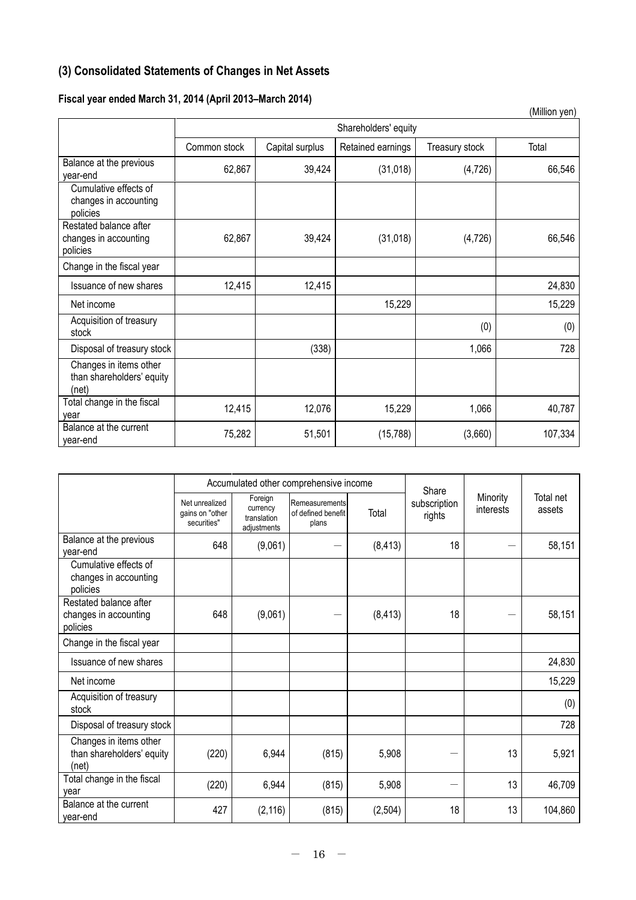# **(3) Consolidated Statements of Changes in Net Assets**

## **Fiscal year ended March 31, 2014 (April 2013–March 2014)**

|                                                              |                      |                 |                   |                | (Million yen) |  |  |  |
|--------------------------------------------------------------|----------------------|-----------------|-------------------|----------------|---------------|--|--|--|
|                                                              | Shareholders' equity |                 |                   |                |               |  |  |  |
|                                                              | Common stock         | Capital surplus | Retained earnings | Treasury stock | Total         |  |  |  |
| Balance at the previous<br>year-end                          | 62,867               | 39,424          | (31, 018)         | (4, 726)       | 66,546        |  |  |  |
| Cumulative effects of<br>changes in accounting<br>policies   |                      |                 |                   |                |               |  |  |  |
| Restated balance after<br>changes in accounting<br>policies  | 62,867               | 39,424          | (31, 018)         | (4, 726)       | 66,546        |  |  |  |
| Change in the fiscal year                                    |                      |                 |                   |                |               |  |  |  |
| Issuance of new shares                                       | 12,415               | 12,415          |                   |                | 24,830        |  |  |  |
| Net income                                                   |                      |                 | 15,229            |                | 15,229        |  |  |  |
| Acquisition of treasury<br>stock                             |                      |                 |                   | (0)            | (0)           |  |  |  |
| Disposal of treasury stock                                   |                      | (338)           |                   | 1,066          | 728           |  |  |  |
| Changes in items other<br>than shareholders' equity<br>(net) |                      |                 |                   |                |               |  |  |  |
| Total change in the fiscal<br>year                           | 12,415               | 12,076          | 15,229            | 1,066          | 40,787        |  |  |  |
| Balance at the current<br>year-end                           | 75,282               | 51,501          | (15,788)          | (3,660)        | 107,334       |  |  |  |

|                                                              | Accumulated other comprehensive income           |                                                   |                                               |          | Share                  |                       |                     |
|--------------------------------------------------------------|--------------------------------------------------|---------------------------------------------------|-----------------------------------------------|----------|------------------------|-----------------------|---------------------|
|                                                              | Net unrealized<br>gains on "other<br>securities" | Foreign<br>currency<br>translation<br>adjustments | Remeasurements<br>of defined benefit<br>plans | Total    | subscription<br>rights | Minority<br>interests | Total net<br>assets |
| Balance at the previous<br>year-end                          | 648                                              | (9,061)                                           |                                               | (8, 413) | 18                     |                       | 58,151              |
| Cumulative effects of<br>changes in accounting<br>policies   |                                                  |                                                   |                                               |          |                        |                       |                     |
| Restated balance after<br>changes in accounting<br>policies  | 648                                              | (9,061)                                           |                                               | (8, 413) | 18                     |                       | 58,151              |
| Change in the fiscal year                                    |                                                  |                                                   |                                               |          |                        |                       |                     |
| Issuance of new shares                                       |                                                  |                                                   |                                               |          |                        |                       | 24,830              |
| Net income                                                   |                                                  |                                                   |                                               |          |                        |                       | 15,229              |
| Acquisition of treasury<br>stock                             |                                                  |                                                   |                                               |          |                        |                       | (0)                 |
| Disposal of treasury stock                                   |                                                  |                                                   |                                               |          |                        |                       | 728                 |
| Changes in items other<br>than shareholders' equity<br>(net) | (220)                                            | 6,944                                             | (815)                                         | 5,908    |                        | 13                    | 5,921               |
| Total change in the fiscal<br>vear                           | (220)                                            | 6,944                                             | (815)                                         | 5,908    |                        | 13                    | 46,709              |
| Balance at the current<br>year-end                           | 427                                              | (2, 116)                                          | (815)                                         | (2, 504) | 18                     | 13                    | 104,860             |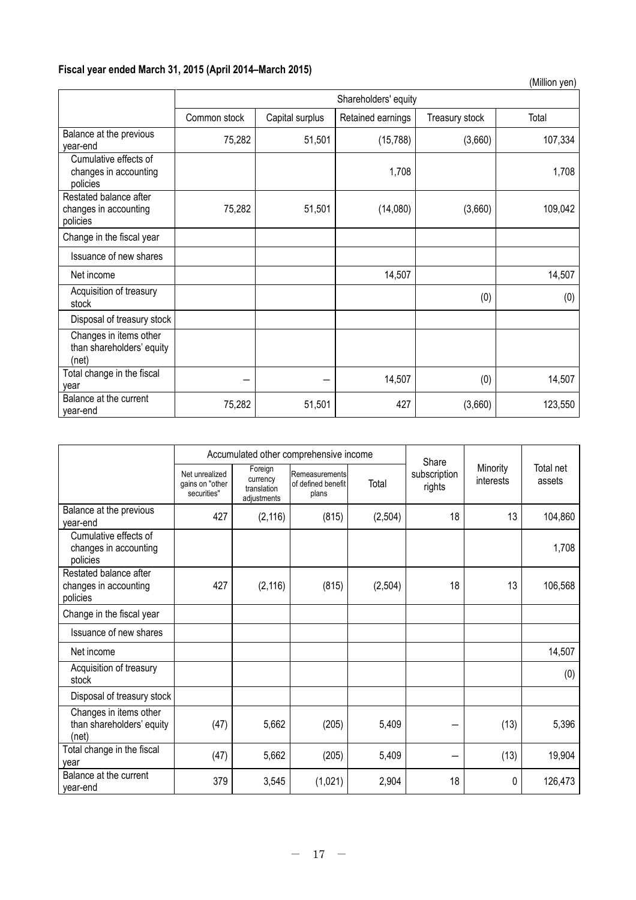## **Fiscal year ended March 31, 2015 (April 2014–March 2015)**

|                                                              |                      |                 |                   |                | (Million yen) |  |  |
|--------------------------------------------------------------|----------------------|-----------------|-------------------|----------------|---------------|--|--|
|                                                              | Shareholders' equity |                 |                   |                |               |  |  |
|                                                              | Common stock         | Capital surplus | Retained earnings | Treasury stock | Total         |  |  |
| Balance at the previous<br>year-end                          | 75,282               | 51,501          | (15, 788)         | (3,660)        | 107,334       |  |  |
| Cumulative effects of<br>changes in accounting<br>policies   |                      |                 | 1,708             |                | 1,708         |  |  |
| Restated balance after<br>changes in accounting<br>policies  | 75,282               | 51,501          | (14,080)          | (3,660)        | 109,042       |  |  |
| Change in the fiscal year                                    |                      |                 |                   |                |               |  |  |
| Issuance of new shares                                       |                      |                 |                   |                |               |  |  |
| Net income                                                   |                      |                 | 14,507            |                | 14,507        |  |  |
| Acquisition of treasury<br>stock                             |                      |                 |                   | (0)            | (0)           |  |  |
| Disposal of treasury stock                                   |                      |                 |                   |                |               |  |  |
| Changes in items other<br>than shareholders' equity<br>(net) |                      |                 |                   |                |               |  |  |
| Total change in the fiscal<br>year                           |                      |                 | 14,507            | (0)            | 14,507        |  |  |
| Balance at the current<br>year-end                           | 75,282               | 51,501          | 427               | (3,660)        | 123,550       |  |  |

|                                                              | Accumulated other comprehensive income           |                                                   |                                               |         | Share                  |                       |                     |
|--------------------------------------------------------------|--------------------------------------------------|---------------------------------------------------|-----------------------------------------------|---------|------------------------|-----------------------|---------------------|
|                                                              | Net unrealized<br>gains on "other<br>securities" | Foreign<br>currency<br>translation<br>adjustments | Remeasurements<br>of defined benefit<br>plans | Total   | subscription<br>rights | Minority<br>interests | Total net<br>assets |
| Balance at the previous<br>year-end                          | 427                                              | (2, 116)                                          | (815)                                         | (2,504) | 18                     | 13                    | 104,860             |
| Cumulative effects of<br>changes in accounting<br>policies   |                                                  |                                                   |                                               |         |                        |                       | 1,708               |
| Restated balance after<br>changes in accounting<br>policies  | 427                                              | (2, 116)                                          | (815)                                         | (2,504) | 18                     | 13                    | 106,568             |
| Change in the fiscal year                                    |                                                  |                                                   |                                               |         |                        |                       |                     |
| Issuance of new shares                                       |                                                  |                                                   |                                               |         |                        |                       |                     |
| Net income                                                   |                                                  |                                                   |                                               |         |                        |                       | 14,507              |
| Acquisition of treasury<br>stock                             |                                                  |                                                   |                                               |         |                        |                       | (0)                 |
| Disposal of treasury stock                                   |                                                  |                                                   |                                               |         |                        |                       |                     |
| Changes in items other<br>than shareholders' equity<br>(net) | (47)                                             | 5,662                                             | (205)                                         | 5,409   |                        | (13)                  | 5,396               |
| Total change in the fiscal<br>year                           | (47)                                             | 5,662                                             | (205)                                         | 5,409   |                        | (13)                  | 19,904              |
| Balance at the current<br>year-end                           | 379                                              | 3,545                                             | (1,021)                                       | 2,904   | 18                     | 0                     | 126,473             |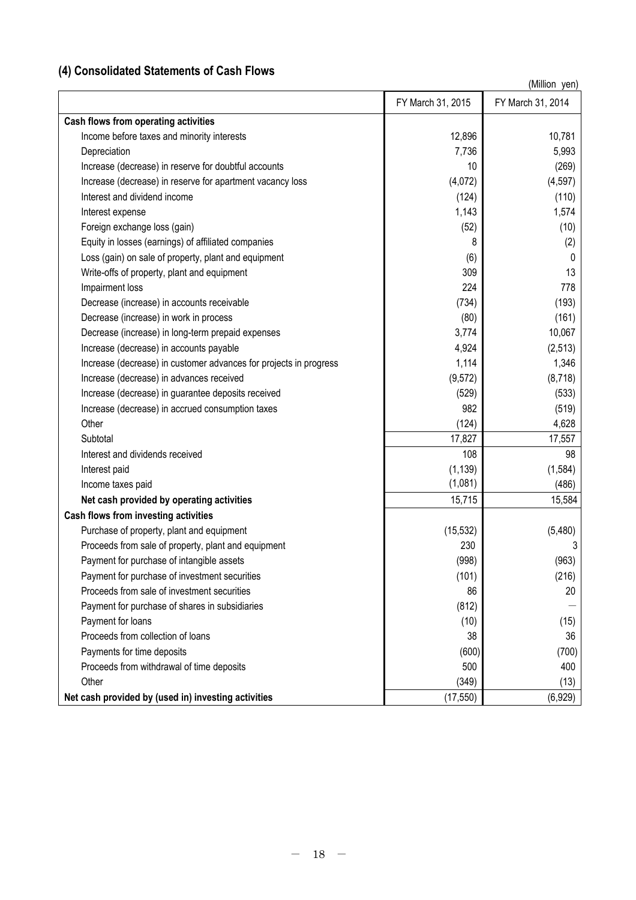# **(4) Consolidated Statements of Cash Flows**

|                                                                   | FY March 31, 2015 | FY March 31, 2014 |
|-------------------------------------------------------------------|-------------------|-------------------|
| Cash flows from operating activities                              |                   |                   |
| Income before taxes and minority interests                        | 12,896            | 10,781            |
| Depreciation                                                      | 7,736             | 5,993             |
| Increase (decrease) in reserve for doubtful accounts              | 10                | (269)             |
| Increase (decrease) in reserve for apartment vacancy loss         | (4,072)           | (4, 597)          |
| Interest and dividend income                                      | (124)             | (110)             |
| Interest expense                                                  | 1,143             | 1,574             |
| Foreign exchange loss (gain)                                      | (52)              | (10)              |
| Equity in losses (earnings) of affiliated companies               | 8                 | (2)               |
| Loss (gain) on sale of property, plant and equipment              | (6)               | 0                 |
| Write-offs of property, plant and equipment                       | 309               | 13                |
| Impairment loss                                                   | 224               | 778               |
| Decrease (increase) in accounts receivable                        | (734)             | (193)             |
| Decrease (increase) in work in process                            | (80)              | (161)             |
| Decrease (increase) in long-term prepaid expenses                 | 3,774             | 10,067            |
| Increase (decrease) in accounts payable                           | 4,924             | (2, 513)          |
| Increase (decrease) in customer advances for projects in progress | 1,114             | 1,346             |
| Increase (decrease) in advances received                          | (9, 572)          | (8,718)           |
| Increase (decrease) in guarantee deposits received                | (529)             | (533)             |
| Increase (decrease) in accrued consumption taxes                  | 982               | (519)             |
| Other                                                             | (124)             | 4,628             |
| Subtotal                                                          | 17,827            | 17,557            |
| Interest and dividends received                                   | 108               | 98                |
| Interest paid                                                     | (1, 139)          | (1, 584)          |
| Income taxes paid                                                 | (1,081)           | (486)             |
| Net cash provided by operating activities                         | 15,715            | 15,584            |
| Cash flows from investing activities                              |                   |                   |
| Purchase of property, plant and equipment                         | (15, 532)         | (5,480)           |
| Proceeds from sale of property, plant and equipment               | 230               |                   |
| Payment for purchase of intangible assets                         | (998)             | (963)             |
| Payment for purchase of investment securities                     | (101)             | (216)             |
| Proceeds from sale of investment securities                       | 86                | 20                |
| Payment for purchase of shares in subsidiaries                    | (812)             |                   |
| Payment for loans                                                 | (10)              | (15)              |
| Proceeds from collection of loans                                 | 38                | 36                |
| Payments for time deposits                                        | (600)             | (700)             |
| Proceeds from withdrawal of time deposits                         | 500               | 400               |
| Other                                                             | (349)             | (13)              |
| Net cash provided by (used in) investing activities               | (17, 550)         | (6,929)           |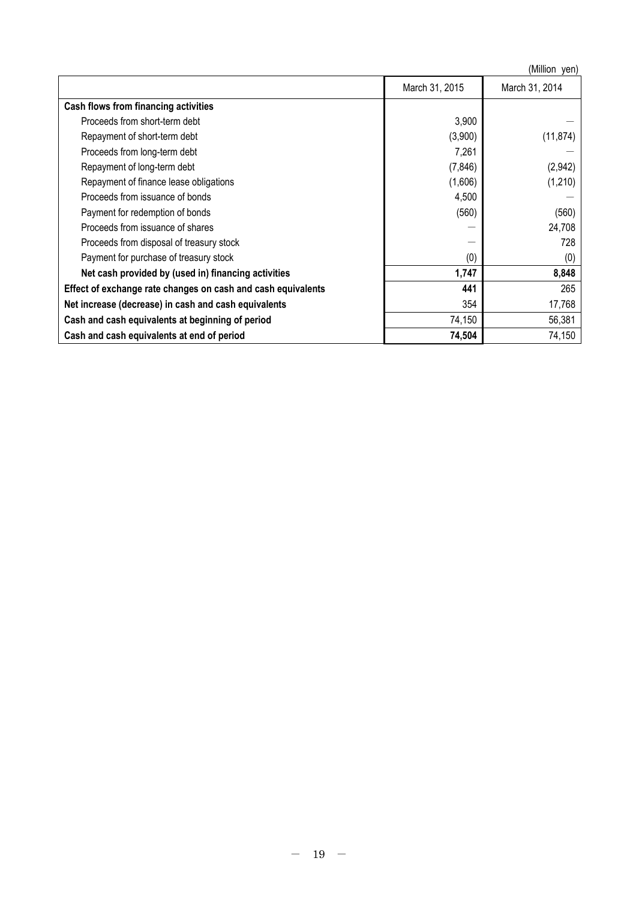|                                                              |                | (Million yen)  |
|--------------------------------------------------------------|----------------|----------------|
|                                                              | March 31, 2015 | March 31, 2014 |
| Cash flows from financing activities                         |                |                |
| Proceeds from short-term debt                                | 3,900          |                |
| Repayment of short-term debt                                 | (3,900)        | (11, 874)      |
| Proceeds from long-term debt                                 | 7,261          |                |
| Repayment of long-term debt                                  | (7, 846)       | (2,942)        |
| Repayment of finance lease obligations                       | (1,606)        | (1,210)        |
| Proceeds from issuance of bonds                              | 4,500          |                |
| Payment for redemption of bonds                              | (560)          | (560)          |
| Proceeds from issuance of shares                             |                | 24,708         |
| Proceeds from disposal of treasury stock                     |                | 728            |
| Payment for purchase of treasury stock                       | (0)            | (0)            |
| Net cash provided by (used in) financing activities          | 1,747          | 8,848          |
| Effect of exchange rate changes on cash and cash equivalents | 441            | 265            |
| Net increase (decrease) in cash and cash equivalents         | 354            | 17,768         |
| Cash and cash equivalents at beginning of period             | 74,150         | 56,381         |
| Cash and cash equivalents at end of period                   | 74,504         | 74,150         |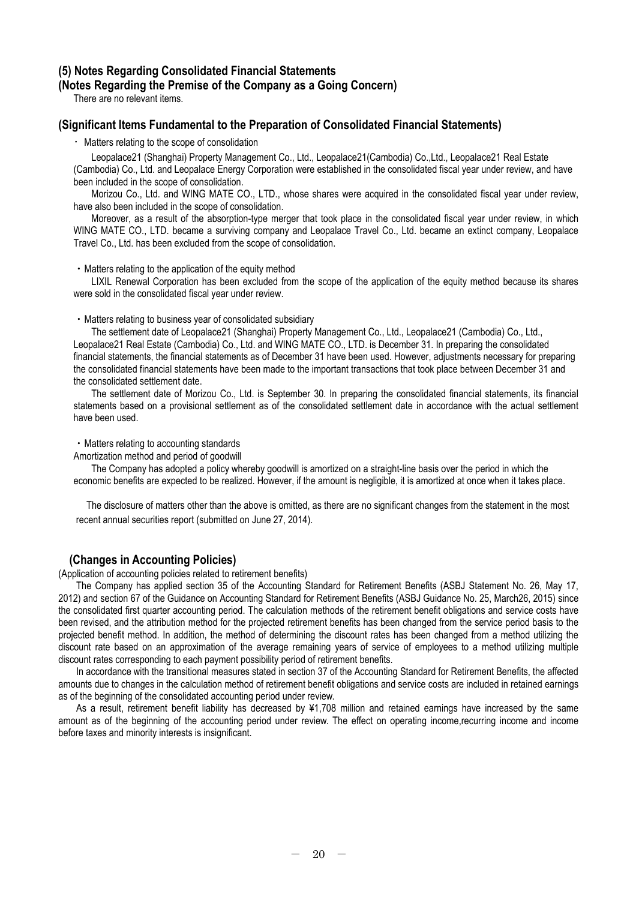### **(5) Notes Regarding Consolidated Financial Statements (Notes Regarding the Premise of the Company as a Going Concern)**

There are no relevant items.

### **(Significant Items Fundamental to the Preparation of Consolidated Financial Statements)**

・Matters relating to the scope of consolidation

Leopalace21 (Shanghai) Property Management Co., Ltd., Leopalace21(Cambodia) Co.,Ltd., Leopalace21 Real Estate (Cambodia) Co., Ltd. and Leopalace Energy Corporation were established in the consolidated fiscal year under review, and have been included in the scope of consolidation.

Morizou Co., Ltd. and WING MATE CO., LTD., whose shares were acquired in the consolidated fiscal year under review, have also been included in the scope of consolidation.

Moreover, as a result of the absorption-type merger that took place in the consolidated fiscal year under review, in which WING MATE CO., LTD. became a surviving company and Leopalace Travel Co., Ltd. became an extinct company, Leopalace Travel Co., Ltd. has been excluded from the scope of consolidation.

・Matters relating to the application of the equity method

LIXIL Renewal Corporation has been excluded from the scope of the application of the equity method because its shares were sold in the consolidated fiscal year under review.

・Matters relating to business year of consolidated subsidiary

The settlement date of Leopalace21 (Shanghai) Property Management Co., Ltd., Leopalace21 (Cambodia) Co., Ltd., Leopalace21 Real Estate (Cambodia) Co., Ltd. and WING MATE CO., LTD. is December 31. In preparing the consolidated financial statements, the financial statements as of December 31 have been used. However, adjustments necessary for preparing the consolidated financial statements have been made to the important transactions that took place between December 31 and the consolidated settlement date.

The settlement date of Morizou Co., Ltd. is September 30. In preparing the consolidated financial statements, its financial statements based on a provisional settlement as of the consolidated settlement date in accordance with the actual settlement have been used.

・Matters relating to accounting standards

Amortization method and period of goodwill

The Company has adopted a policy whereby goodwill is amortized on a straight-line basis over the period in which the economic benefits are expected to be realized. However, if the amount is negligible, it is amortized at once when it takes place.

The disclosure of matters other than the above is omitted, as there are no significant changes from the statement in the most recent annual securities report (submitted on June 27, 2014).

### **(Changes in Accounting Policies)**

(Application of accounting policies related to retirement benefits)

The Company has applied section 35 of the Accounting Standard for Retirement Benefits (ASBJ Statement No. 26, May 17, 2012) and section 67 of the Guidance on Accounting Standard for Retirement Benefits (ASBJ Guidance No. 25, March26, 2015) since the consolidated first quarter accounting period. The calculation methods of the retirement benefit obligations and service costs have been revised, and the attribution method for the projected retirement benefits has been changed from the service period basis to the projected benefit method. In addition, the method of determining the discount rates has been changed from a method utilizing the discount rate based on an approximation of the average remaining years of service of employees to a method utilizing multiple discount rates corresponding to each payment possibility period of retirement benefits.

In accordance with the transitional measures stated in section 37 of the Accounting Standard for Retirement Benefits, the affected amounts due to changes in the calculation method of retirement benefit obligations and service costs are included in retained earnings as of the beginning of the consolidated accounting period under review.

As a result, retirement benefit liability has decreased by ¥1,708 million and retained earnings have increased by the same amount as of the beginning of the accounting period under review. The effect on operating income,recurring income and income before taxes and minority interests is insignificant.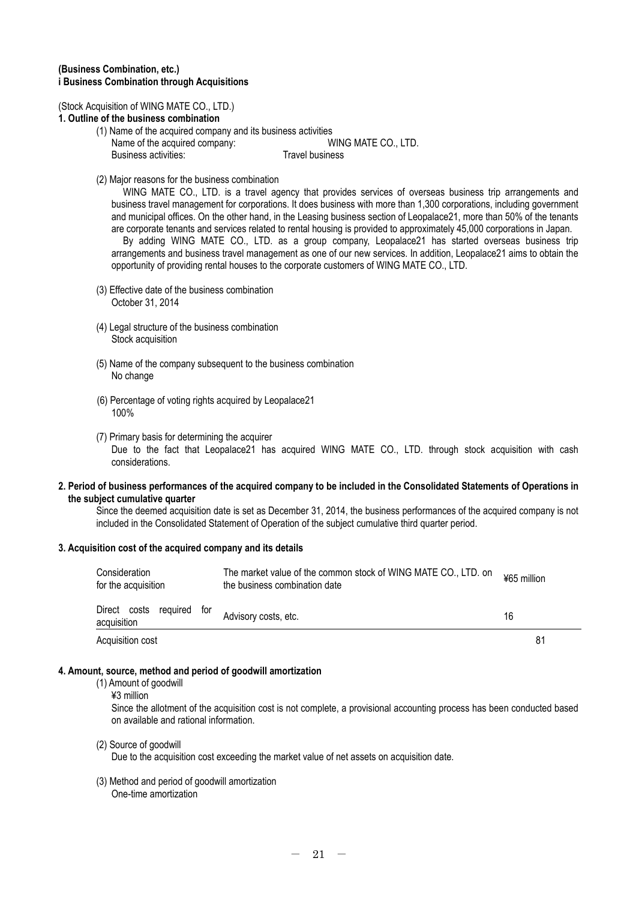### **(Business Combination, etc.) i Business Combination through Acquisitions**

#### (Stock Acquisition of WING MATE CO., LTD.)

#### **1. Outline of the business combination**

- (1) Name of the acquired company and its business activities Name of the acquired company: WING MATE CO., LTD. Business activities: Travel business
- (2) Major reasons for the business combination

WING MATE CO., LTD. is a travel agency that provides services of overseas business trip arrangements and business travel management for corporations. It does business with more than 1,300 corporations, including government and municipal offices. On the other hand, in the Leasing business section of Leopalace21, more than 50% of the tenants are corporate tenants and services related to rental housing is provided to approximately 45,000 corporations in Japan. By adding WING MATE CO., LTD. as a group company, Leopalace21 has started overseas business trip

arrangements and business travel management as one of our new services. In addition, Leopalace21 aims to obtain the opportunity of providing rental houses to the corporate customers of WING MATE CO., LTD.

- (3) Effective date of the business combination October 31, 2014
- (4) Legal structure of the business combination Stock acquisition
- (5) Name of the company subsequent to the business combination No change
- (6) Percentage of voting rights acquired by Leopalace21 100%
- (7) Primary basis for determining the acquirer Due to the fact that Leopalace21 has acquired WING MATE CO., LTD. through stock acquisition with cash considerations.

#### **2. Period of business performances of the acquired company to be included in the Consolidated Statements of Operations in the subject cumulative quarter**

Since the deemed acquisition date is set as December 31, 2014, the business performances of the acquired company is not included in the Consolidated Statement of Operation of the subject cumulative third quarter period.

#### **3. Acquisition cost of the acquired company and its details**

| Consideration<br>for the acquisition        | The market value of the common stock of WING MATE CO., LTD. on<br>the business combination date | ¥65 million    |  |
|---------------------------------------------|-------------------------------------------------------------------------------------------------|----------------|--|
| Direct costs<br>required for<br>acquisition | Advisory costs, etc.                                                                            | 16             |  |
| Acquisition cost                            |                                                                                                 | 8 <sup>1</sup> |  |

### **4. Amount, source, method and period of goodwill amortization**

- (1) Amount of goodwill
	- ¥3 million

Since the allotment of the acquisition cost is not complete, a provisional accounting process has been conducted based on available and rational information.

(2) Source of goodwill

Due to the acquisition cost exceeding the market value of net assets on acquisition date.

(3) Method and period of goodwill amortization One-time amortization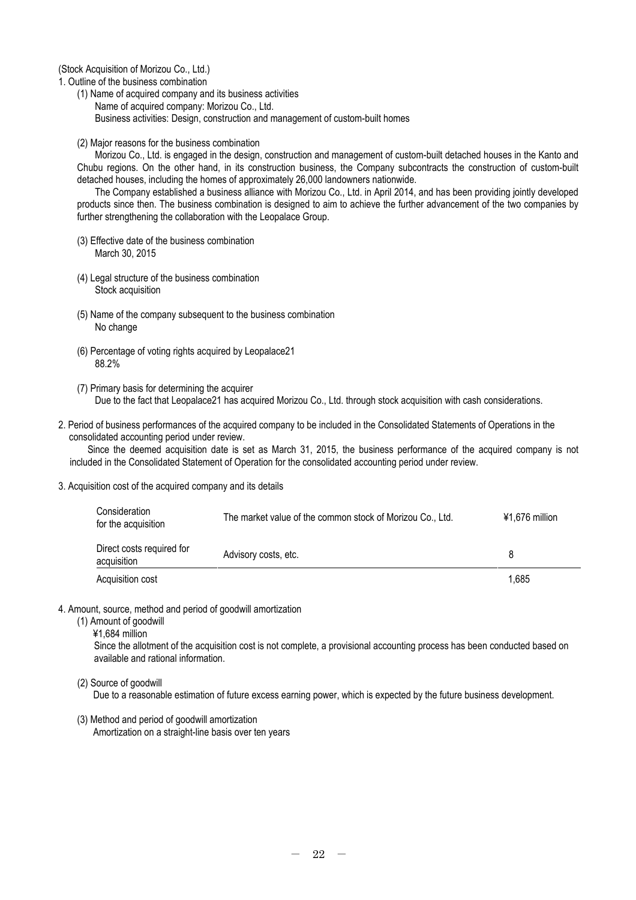(Stock Acquisition of Morizou Co., Ltd.)

1. Outline of the business combination

- (1) Name of acquired company and its business activities Name of acquired company: Morizou Co., Ltd. Business activities: Design, construction and management of custom-built homes
- (2) Major reasons for the business combination

Morizou Co., Ltd. is engaged in the design, construction and management of custom-built detached houses in the Kanto and Chubu regions. On the other hand, in its construction business, the Company subcontracts the construction of custom-built detached houses, including the homes of approximately 26,000 landowners nationwide.

The Company established a business alliance with Morizou Co., Ltd. in April 2014, and has been providing jointly developed products since then. The business combination is designed to aim to achieve the further advancement of the two companies by further strengthening the collaboration with the Leopalace Group.

- (3) Effective date of the business combination March 30, 2015
- (4) Legal structure of the business combination Stock acquisition
- (5) Name of the company subsequent to the business combination No change
- (6) Percentage of voting rights acquired by Leopalace21 88.2%
- (7) Primary basis for determining the acquirer Due to the fact that Leopalace21 has acquired Morizou Co., Ltd. through stock acquisition with cash considerations.
- 2. Period of business performances of the acquired company to be included in the Consolidated Statements of Operations in the consolidated accounting period under review.

Since the deemed acquisition date is set as March 31, 2015, the business performance of the acquired company is not included in the Consolidated Statement of Operation for the consolidated accounting period under review.

3. Acquisition cost of the acquired company and its details

| Consideration<br>for the acquisition     | The market value of the common stock of Morizou Co., Ltd. | ¥1.676 million |
|------------------------------------------|-----------------------------------------------------------|----------------|
| Direct costs required for<br>acquisition | Advisory costs, etc.                                      |                |
| Acquisition cost                         |                                                           | 1,685          |

4. Amount, source, method and period of goodwill amortization

- (1) Amount of goodwill
	- ¥1,684 million

Since the allotment of the acquisition cost is not complete, a provisional accounting process has been conducted based on available and rational information.

(2) Source of goodwill

Due to a reasonable estimation of future excess earning power, which is expected by the future business development.

(3) Method and period of goodwill amortization Amortization on a straight-line basis over ten years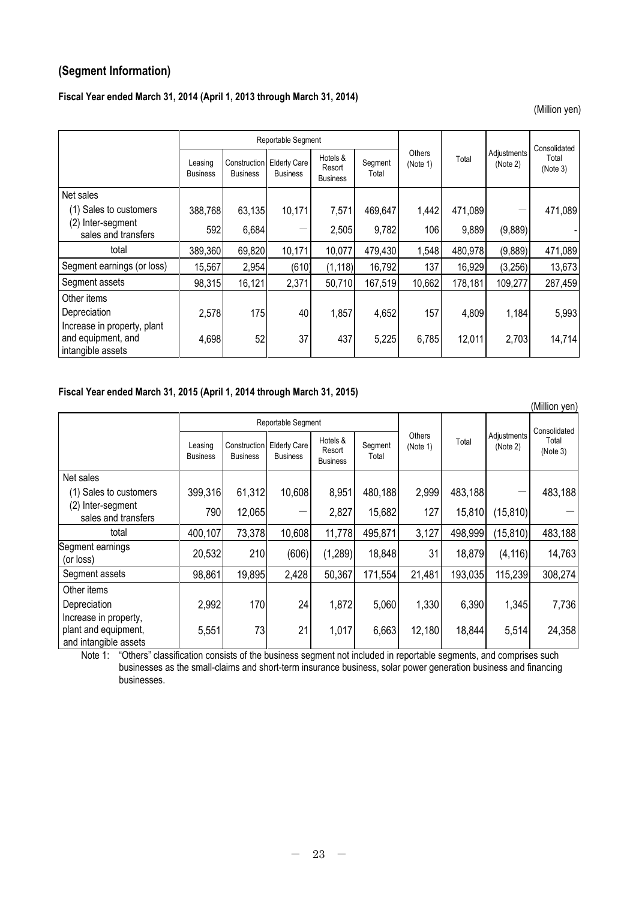## **(Segment Information)**

### **Fiscal Year ended March 31, 2014 (April 1, 2013 through March 31, 2014)**

(Million yen)

|                                          |                            |                                 | Reportable Segment                     |                                       |                  |                                    |         | Consolidated            |                   |
|------------------------------------------|----------------------------|---------------------------------|----------------------------------------|---------------------------------------|------------------|------------------------------------|---------|-------------------------|-------------------|
|                                          | Leasing<br><b>Business</b> | Construction<br><b>Business</b> | <b>Elderly Care</b><br><b>Business</b> | Hotels &<br>Resort<br><b>Business</b> | Segment<br>Total | <b>Others</b><br>Total<br>(Note 1) |         | Adjustments<br>(Note 2) | Total<br>(Note 3) |
| Net sales                                |                            |                                 |                                        |                                       |                  |                                    |         |                         |                   |
| (1) Sales to customers                   | 388,768                    | 63,135                          | 10,171                                 | 7,571                                 | 469,647          | 1,442                              | 471,089 |                         | 471,089           |
| (2) Inter-segment<br>sales and transfers | 592                        | 6,684                           |                                        | 2,505                                 | 9,782            | 106                                | 9,889   | (9,889)                 |                   |
| total                                    | 389,360                    | 69,820                          | 10,171                                 | 10,077                                | 479,430          | 1,548                              | 480,978 | (9,889)                 | 471,089           |
| Segment earnings (or loss)               | 15,567                     | 2,954                           | (610)                                  | (1, 118)                              | 16,792           | 137                                | 16,929  | (3,256)                 | 13,673            |
| Segment assets                           | 98,315                     | 16,121                          | 2,371                                  | 50,710                                | 167,519          | 10,662                             | 178,181 | 109,277                 | 287,459           |
| Other items                              |                            |                                 |                                        |                                       |                  |                                    |         |                         |                   |
| Depreciation                             | 2,578                      | 175                             | 40                                     | 1,857                                 | 4,652            | 157                                | 4,809   | 1,184                   | 5,993             |
| Increase in property, plant              |                            |                                 |                                        |                                       |                  |                                    |         |                         |                   |
| and equipment, and<br>intangible assets  | 4,698                      | 52                              | 37                                     | 437                                   | 5,225            | 6,785                              | 12,011  | 2,703                   | 14,714            |

### **Fiscal Year ended March 31, 2015 (April 1, 2014 through March 31, 2015)**

|                                                                        |                            |                 |                                                |                                       |                  |                    |         |                         | (Million yen)     |
|------------------------------------------------------------------------|----------------------------|-----------------|------------------------------------------------|---------------------------------------|------------------|--------------------|---------|-------------------------|-------------------|
|                                                                        |                            |                 | Reportable Segment                             |                                       |                  |                    |         |                         | Consolidated      |
|                                                                        | Leasing<br><b>Business</b> | <b>Business</b> | Construction   Elderly Care<br><b>Business</b> | Hotels &<br>Resort<br><b>Business</b> | Segment<br>Total | Others<br>(Note 1) | Total   | Adjustments<br>(Note 2) | Total<br>(Note 3) |
| Net sales                                                              |                            |                 |                                                |                                       |                  |                    |         |                         |                   |
| (1) Sales to customers                                                 | 399,316                    | 61,312          | 10,608                                         | 8,951                                 | 480,188          | 2,999              | 483,188 |                         | 483,188           |
| (2)<br>Inter-segment<br>sales and transfers                            | 790                        | 12,065          |                                                | 2,827                                 | 15,682           | 127                | 15,810  | (15, 810)               |                   |
| total                                                                  | 400,107                    | 73,378          | 10,608                                         | 11,778                                | 495,871          | 3,127              | 498,999 | (15, 810)               | 483,188           |
| Segment earnings<br>(or loss)                                          | 20,532                     | 210             | (606)                                          | (1, 289)                              | 18,848           | 31                 | 18,879  | (4, 116)                | 14,763            |
| Segment assets                                                         | 98,861                     | 19,895          | 2,428                                          | 50,367                                | 171,554          | 21,481             | 193,035 | 115,239                 | 308,274           |
| Other items                                                            |                            |                 |                                                |                                       |                  |                    |         |                         |                   |
| Depreciation                                                           | 2,992                      | 170             | 24                                             | 1,872                                 | 5,060            | 1,330              | 6,390   | 1,345                   | 7,736             |
| Increase in property,<br>plant and equipment,<br>and intangible assets | 5,551                      | 73              | 21                                             | 1,017                                 | 6,663            | 12,180             | 18,844  | 5,514                   | 24,358            |

Note 1: "Others" classification consists of the business segment not included in reportable segments, and comprises such businesses as the small-claims and short-term insurance business, solar power generation business and financing businesses.